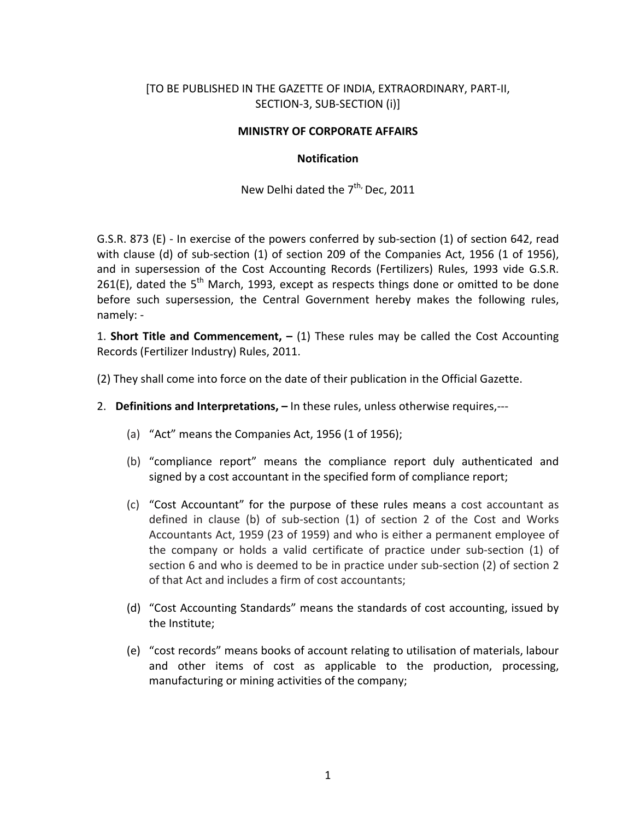## [TO BE PUBLISHED IN THE GAZETTE OF INDIA, EXTRAORDINARY, PART‐II, SECTION‐3, SUB‐SECTION (i)]

## **MINISTRY OF CORPORATE AFFAIRS**

### **Notification**

New Delhi dated the  $7^{\text{th}}$ , Dec, 2011

G.S.R. 873 (E) ‐ In exercise of the powers conferred by sub‐section (1) of section 642, read with clause (d) of sub-section (1) of section 209 of the Companies Act, 1956 (1 of 1956), and in supersession of the Cost Accounting Records (Fertilizers) Rules, 1993 vide G.S.R. 261(E), dated the 5<sup>th</sup> March, 1993, except as respects things done or omitted to be done before such supersession, the Central Government hereby makes the following rules, namely: ‐

1. **Short Title and Commencement, –** (1) These rules may be called the Cost Accounting Records (Fertilizer Industry) Rules, 2011.

(2) They shall come into force on the date of their publication in the Official Gazette.

- 2. **Definitions and Interpretations, –** In these rules, unless otherwise requires,‐‐‐
	- (a) "Act" means the Companies Act, 1956 (1 of 1956);
	- (b) "compliance report" means the compliance report duly authenticated and signed by a cost accountant in the specified form of compliance report;
	- (c) "Cost Accountant" for the purpose of these rules means a cost accountant as defined in clause (b) of sub‐section (1) of section 2 of the Cost and Works Accountants Act, 1959 (23 of 1959) and who is either a permanent employee of the company or holds a valid certificate of practice under sub‐section (1) of section 6 and who is deemed to be in practice under sub‐section (2) of section 2 of that Act and includes a firm of cost accountants;
	- (d) "Cost Accounting Standards" means the standards of cost accounting, issued by the Institute;
	- (e) "cost records" means books of account relating to utilisation of materials, labour and other items of cost as applicable to the production, processing, manufacturing or mining activities of the company;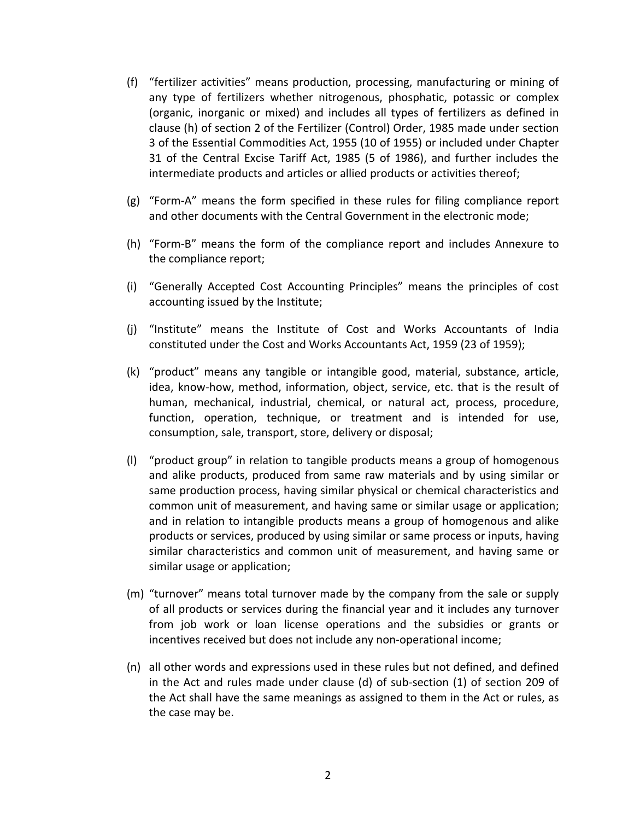- (f) "fertilizer activities" means production, processing, manufacturing or mining of any type of fertilizers whether nitrogenous, phosphatic, potassic or complex (organic, inorganic or mixed) and includes all types of fertilizers as defined in clause (h) of section 2 of the Fertilizer (Control) Order, 1985 made under section 3 of the Essential Commodities Act, 1955 (10 of 1955) or included under Chapter 31 of the Central Excise Tariff Act, 1985 (5 of 1986), and further includes the intermediate products and articles or allied products or activities thereof;
- (g) "Form‐A" means the form specified in these rules for filing compliance report and other documents with the Central Government in the electronic mode;
- (h) "Form‐B" means the form of the compliance report and includes Annexure to the compliance report;
- (i) "Generally Accepted Cost Accounting Principles" means the principles of cost accounting issued by the Institute;
- (j) "Institute" means the Institute of Cost and Works Accountants of India constituted under the Cost and Works Accountants Act, 1959 (23 of 1959);
- (k) "product" means any tangible or intangible good, material, substance, article, idea, know‐how, method, information, object, service, etc. that is the result of human, mechanical, industrial, chemical, or natural act, process, procedure, function, operation, technique, or treatment and is intended for use, consumption, sale, transport, store, delivery or disposal;
- (l) "product group" in relation to tangible products means a group of homogenous and alike products, produced from same raw materials and by using similar or same production process, having similar physical or chemical characteristics and common unit of measurement, and having same or similar usage or application; and in relation to intangible products means a group of homogenous and alike products or services, produced by using similar or same process or inputs, having similar characteristics and common unit of measurement, and having same or similar usage or application;
- (m) "turnover" means total turnover made by the company from the sale or supply of all products or services during the financial year and it includes any turnover from job work or loan license operations and the subsidies or grants or incentives received but does not include any non‐operational income;
- (n) all other words and expressions used in these rules but not defined, and defined in the Act and rules made under clause (d) of sub‐section (1) of section 209 of the Act shall have the same meanings as assigned to them in the Act or rules, as the case may be.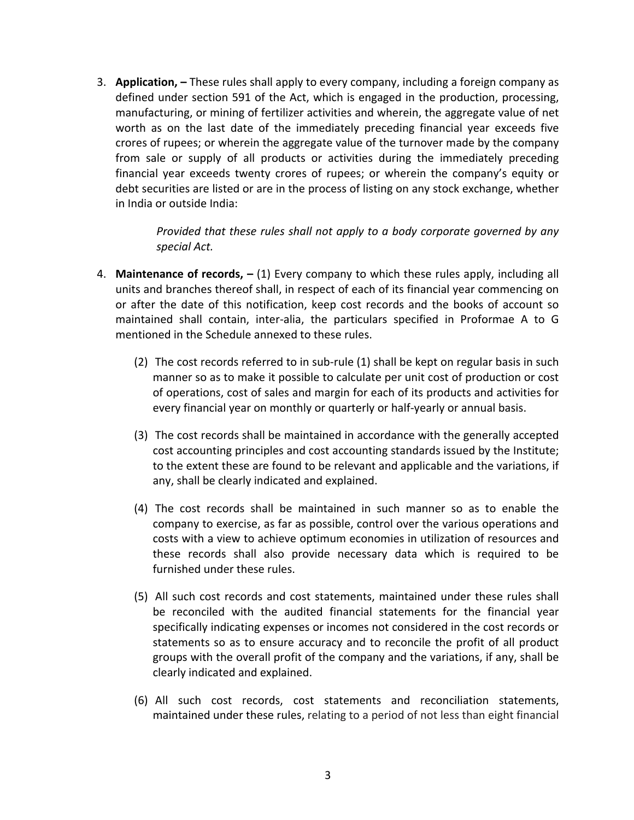3. **Application, –** These rules shall apply to every company, including a foreign company as defined under section 591 of the Act, which is engaged in the production, processing, manufacturing, or mining of fertilizer activities and wherein, the aggregate value of net worth as on the last date of the immediately preceding financial year exceeds five crores of rupees; or wherein the aggregate value of the turnover made by the company from sale or supply of all products or activities during the immediately preceding financial year exceeds twenty crores of rupees; or wherein the company's equity or debt securities are listed or are in the process of listing on any stock exchange, whether in India or outside India:

> *Provided that these rules shall not apply to a body corporate governed by any special Act.*

- 4. **Maintenance of records, –** (1) Every company to which these rules apply, including all units and branches thereof shall, in respect of each of its financial year commencing on or after the date of this notification, keep cost records and the books of account so maintained shall contain, inter‐alia, the particulars specified in Proformae A to G mentioned in the Schedule annexed to these rules.
	- (2) The cost records referred to in sub‐rule (1) shall be kept on regular basis in such manner so as to make it possible to calculate per unit cost of production or cost of operations, cost of sales and margin for each of its products and activities for every financial year on monthly or quarterly or half‐yearly or annual basis.
	- (3) The cost records shall be maintained in accordance with the generally accepted cost accounting principles and cost accounting standards issued by the Institute; to the extent these are found to be relevant and applicable and the variations, if any, shall be clearly indicated and explained.
	- (4) The cost records shall be maintained in such manner so as to enable the company to exercise, as far as possible, control over the various operations and costs with a view to achieve optimum economies in utilization of resources and these records shall also provide necessary data which is required to be furnished under these rules.
	- (5) All such cost records and cost statements, maintained under these rules shall be reconciled with the audited financial statements for the financial year specifically indicating expenses or incomes not considered in the cost records or statements so as to ensure accuracy and to reconcile the profit of all product groups with the overall profit of the company and the variations, if any, shall be clearly indicated and explained.
	- (6) All such cost records, cost statements and reconciliation statements, maintained under these rules, relating to a period of not less than eight financial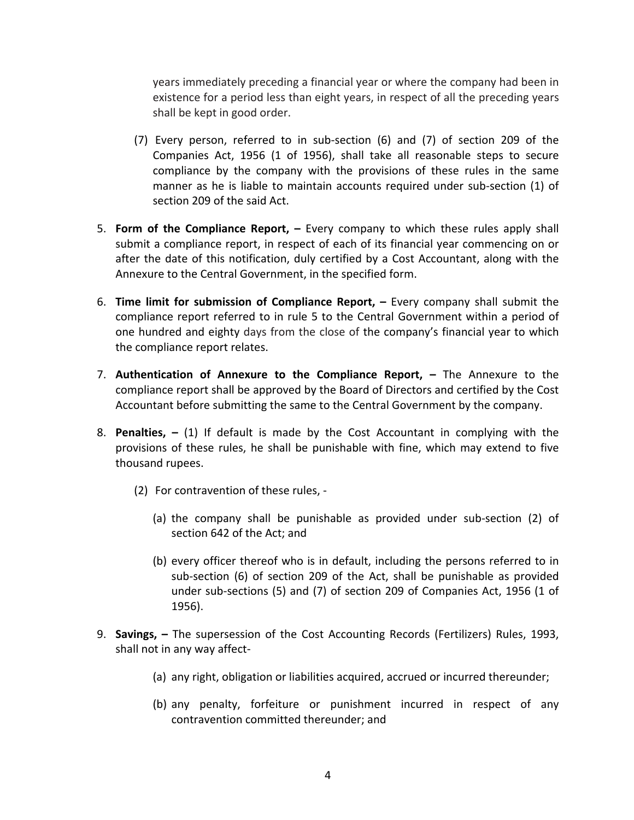years immediately preceding a financial year or where the company had been in existence for a period less than eight years, in respect of all the preceding years shall be kept in good order.

- (7) Every person, referred to in sub‐section (6) and (7) of section 209 of the Companies Act, 1956 (1 of 1956), shall take all reasonable steps to secure compliance by the company with the provisions of these rules in the same manner as he is liable to maintain accounts required under sub-section (1) of section 209 of the said Act.
- 5. **Form of the Compliance Report, –** Every company to which these rules apply shall submit a compliance report, in respect of each of its financial year commencing on or after the date of this notification, duly certified by a Cost Accountant, along with the Annexure to the Central Government, in the specified form.
- 6. **Time limit for submission of Compliance Report, –** Every company shall submit the compliance report referred to in rule 5 to the Central Government within a period of one hundred and eighty days from the close of the company's financial year to which the compliance report relates.
- 7. **Authentication of Annexure to the Compliance Report, –** The Annexure to the compliance report shall be approved by the Board of Directors and certified by the Cost Accountant before submitting the same to the Central Government by the company.
- 8. **Penalties, –** (1) If default is made by the Cost Accountant in complying with the provisions of these rules, he shall be punishable with fine, which may extend to five thousand rupees.
	- (2) For contravention of these rules, ‐
		- (a) the company shall be punishable as provided under sub‐section (2) of section 642 of the Act; and
		- (b) every officer thereof who is in default, including the persons referred to in sub‐section (6) of section 209 of the Act, shall be punishable as provided under sub‐sections (5) and (7) of section 209 of Companies Act, 1956 (1 of 1956).
- 9. **Savings, –** The supersession of the Cost Accounting Records (Fertilizers) Rules, 1993, shall not in any way affect‐
	- (a) any right, obligation or liabilities acquired, accrued or incurred thereunder;
	- (b) any penalty, forfeiture or punishment incurred in respect of any contravention committed thereunder; and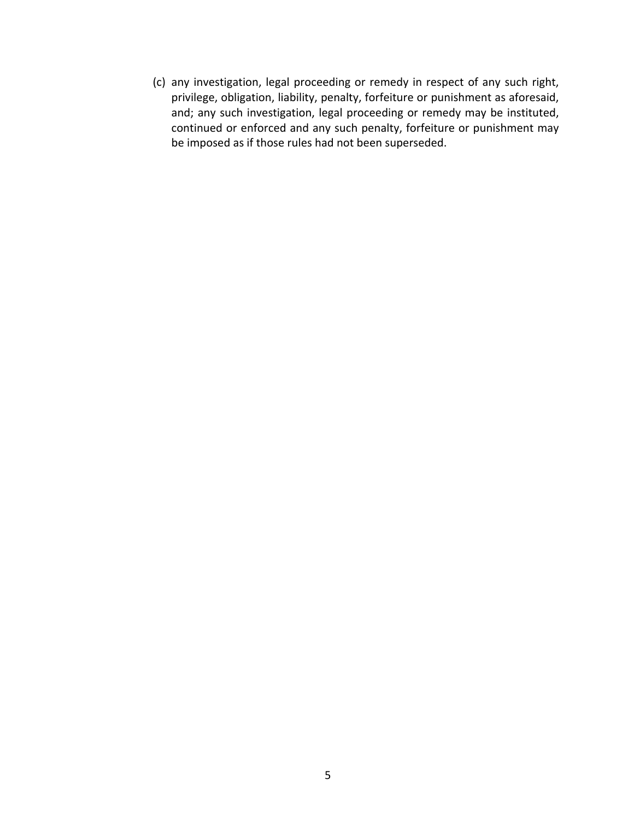(c) any investigation, legal proceeding or remedy in respect of any such right, privilege, obligation, liability, penalty, forfeiture or punishment as aforesaid, and; any such investigation, legal proceeding or remedy may be instituted, continued or enforced and any such penalty, forfeiture or punishment may be imposed as if those rules had not been superseded.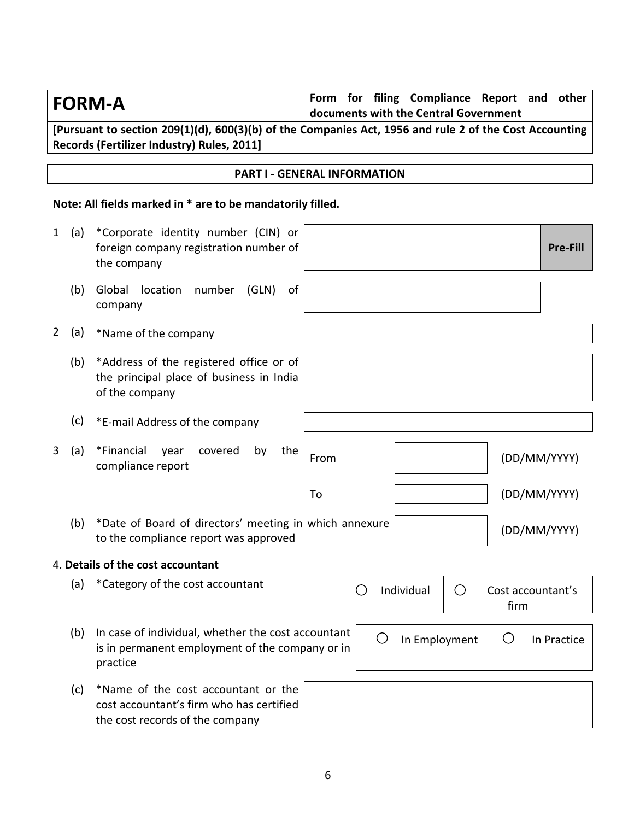| <b>FORM-A</b>         |                                                                                                                    | Form for filing Compliance Report and<br>other<br>documents with the Central Government                |
|-----------------------|--------------------------------------------------------------------------------------------------------------------|--------------------------------------------------------------------------------------------------------|
|                       | Records (Fertilizer Industry) Rules, 2011]                                                                         | [Pursuant to section 209(1)(d), 600(3)(b) of the Companies Act, 1956 and rule 2 of the Cost Accounting |
|                       |                                                                                                                    |                                                                                                        |
|                       |                                                                                                                    | <b>PART I - GENERAL INFORMATION</b>                                                                    |
|                       | Note: All fields marked in * are to be mandatorily filled.                                                         |                                                                                                        |
| $\mathbf{1}$<br>(a)   | *Corporate identity number (CIN) or<br>foreign company registration number of<br>the company                       | <b>Pre-Fill</b>                                                                                        |
| (b)                   | Global location<br>number<br>(GLN)<br>of<br>company                                                                |                                                                                                        |
| $\overline{2}$<br>(a) | *Name of the company                                                                                               |                                                                                                        |
| (b)                   | *Address of the registered office or of<br>the principal place of business in India<br>of the company              |                                                                                                        |
| (c)                   | *E-mail Address of the company                                                                                     |                                                                                                        |
| 3<br>(a)              | *Financial<br>covered<br>year<br>by<br>the<br>compliance report                                                    | From<br>(DD/MM/YYYY)                                                                                   |
|                       |                                                                                                                    | To<br>(DD/MM/YYYY)                                                                                     |
| (b)                   | *Date of Board of directors' meeting in which annexure<br>to the compliance report was approved                    | (DD/MM/YYYY)                                                                                           |
|                       | 4. Details of the cost accountant                                                                                  |                                                                                                        |
| (a)                   | *Category of the cost accountant                                                                                   | Individual<br>O<br>Cost accountant's<br>$\left( \begin{array}{c} 1 \end{array} \right)$<br>firm        |
| (b)                   | In case of individual, whether the cost accountant<br>is in permanent employment of the company or in<br>practice  | O<br>In Employment<br>Ő<br>In Practice                                                                 |
| (c)                   | *Name of the cost accountant or the<br>cost accountant's firm who has certified<br>the cost records of the company |                                                                                                        |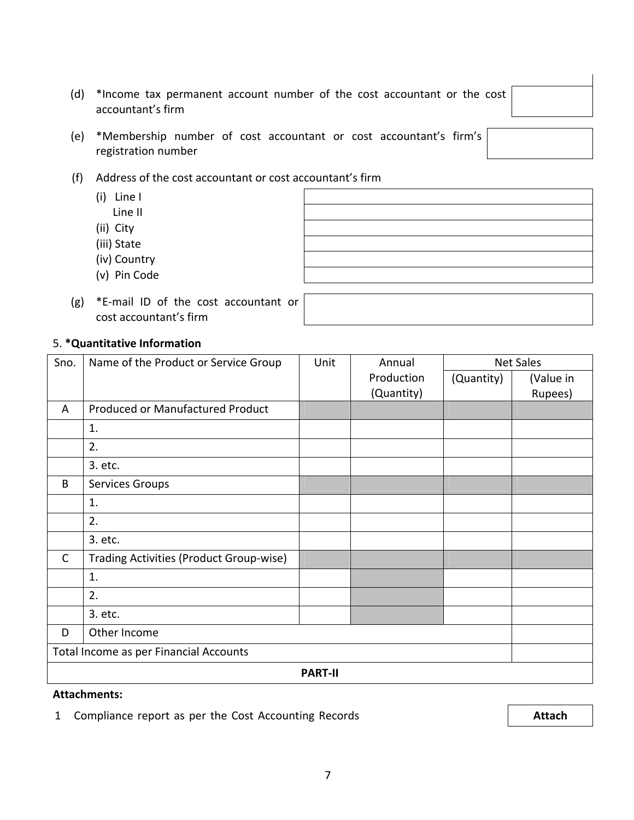(d) \*Income tax permanent account number of the cost accountant or the cost accountant's firm

- (e) \*Membership number of cost accountant or cost accountant's firm's registration number
- (f) Address of the cost accountant or cost accountant's firm
	- (i) Line I
- Line II
- (ii) City
	- (iii) State
	- (iv) Country
	- (v) Pin Code
	- (g) \*E‐mail ID of the cost accountant or cost accountant's firm

## 5. **\*Quantitative Information**

| Sno.         | Name of the Product or Service Group    | Unit | Annual     |            | <b>Net Sales</b> |
|--------------|-----------------------------------------|------|------------|------------|------------------|
|              |                                         |      | Production | (Quantity) | (Value in        |
|              |                                         |      | (Quantity) |            | Rupees)          |
| A            | Produced or Manufactured Product        |      |            |            |                  |
|              | 1.                                      |      |            |            |                  |
|              | 2.                                      |      |            |            |                  |
|              | 3. etc.                                 |      |            |            |                  |
| B            | Services Groups                         |      |            |            |                  |
|              | 1.                                      |      |            |            |                  |
|              | 2.                                      |      |            |            |                  |
|              | 3. etc.                                 |      |            |            |                  |
| $\mathsf{C}$ | Trading Activities (Product Group-wise) |      |            |            |                  |
|              | 1.                                      |      |            |            |                  |
|              | 2.                                      |      |            |            |                  |
|              | 3. etc.                                 |      |            |            |                  |
| D            | Other Income                            |      |            |            |                  |
|              | Total Income as per Financial Accounts  |      |            |            |                  |
|              | <b>PART-II</b>                          |      |            |            |                  |

#### **Attachments:**

1 Compliance report as per the Cost Accounting Records **Attach**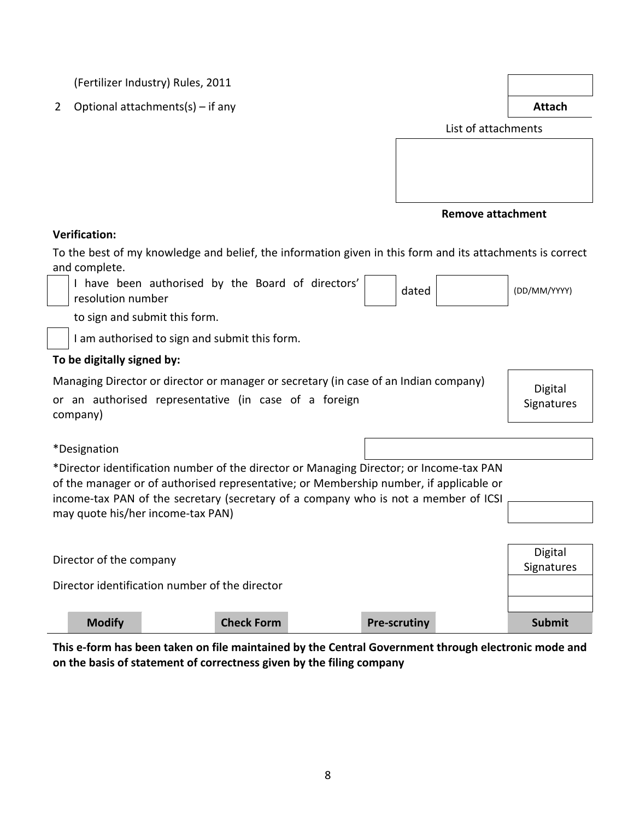(Fertilizer Industry) Rules, 2011

2 Optional attachments(s) – if any **Attach**

Digital **Signatures** 

List of attachments

| <b>Remove attachment</b> |  |  |
|--------------------------|--|--|
|--------------------------|--|--|

## **Verification:**

To the best of my knowledge and belief, the information given in this form and its attachments is correct and complete.

| have been authorised by the Board of directors'<br>resolution number | dated | (DD/MM/YYYY) |
|----------------------------------------------------------------------|-------|--------------|
|----------------------------------------------------------------------|-------|--------------|

to sign and submit this form.

I am authorised to sign and submit this form.

## **To be digitally signed by:**

Managing Director or director or manager or secretary (in case of an Indian company)

or an authorised representative (in case of a foreign company)

\*Designation

\*Director identification number of the director or Managing Director; or Income‐tax PAN of the manager or of authorised representative; or Membership number, if applicable or income-tax PAN of the secretary (secretary of a company who is not a member of ICSI may quote his/her income‐tax PAN)

| Director of the company                        |                   |                     | Digital<br>Signatures |
|------------------------------------------------|-------------------|---------------------|-----------------------|
| Director identification number of the director |                   |                     |                       |
|                                                |                   |                     |                       |
| <b>Modify</b>                                  | <b>Check Form</b> | <b>Pre-scrutiny</b> | <b>Submit</b>         |

This e-form has been taken on file maintained by the Central Government through electronic mode and **on the basis of statement of correctness given by the filing company**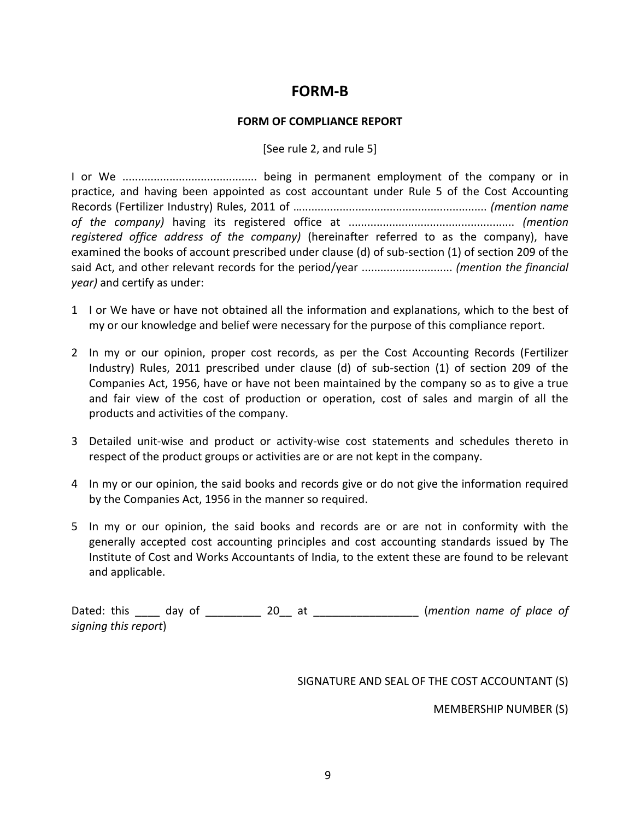# **FORM‐B**

## **FORM OF COMPLIANCE REPORT**

[See rule 2, and rule 5]

I or We ........................................... being in permanent employment of the company or in practice, and having been appointed as cost accountant under Rule 5 of the Cost Accounting Records (Fertilizer Industry) Rules, 2011 of …........................................................... *(mention name of the company)* having its registered office at ..................................................... *(mention registered office address of the company)* (hereinafter referred to as the company), have examined the books of account prescribed under clause (d) of sub‐section (1) of section 209 of the said Act, and other relevant records for the period/year ............................. *(mention the financial year)* and certify as under:

- 1 I or We have or have not obtained all the information and explanations, which to the best of my or our knowledge and belief were necessary for the purpose of this compliance report.
- 2 In my or our opinion, proper cost records, as per the Cost Accounting Records (Fertilizer Industry) Rules, 2011 prescribed under clause (d) of sub‐section (1) of section 209 of the Companies Act, 1956, have or have not been maintained by the company so as to give a true and fair view of the cost of production or operation, cost of sales and margin of all the products and activities of the company.
- 3 Detailed unit‐wise and product or activity‐wise cost statements and schedules thereto in respect of the product groups or activities are or are not kept in the company.
- 4 In my or our opinion, the said books and records give or do not give the information required by the Companies Act, 1956 in the manner so required.
- 5 In my or our opinion, the said books and records are or are not in conformity with the generally accepted cost accounting principles and cost accounting standards issued by The Institute of Cost and Works Accountants of India, to the extent these are found to be relevant and applicable.

Dated: this \_\_\_\_ day of \_\_\_\_\_\_\_\_\_ 20\_\_ at \_\_\_\_\_\_\_\_\_\_\_\_\_\_\_\_\_ (*mention name of place of signing this report*)

SIGNATURE AND SEAL OF THE COST ACCOUNTANT (S)

MEMBERSHIP NUMBER (S)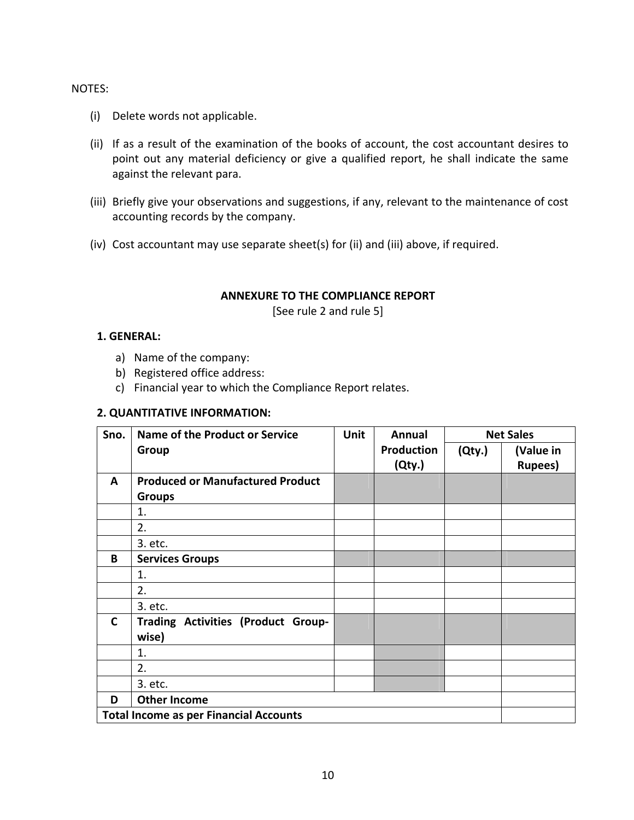### NOTES:

- (i) Delete words not applicable.
- (ii) If as a result of the examination of the books of account, the cost accountant desires to point out any material deficiency or give a qualified report, he shall indicate the same against the relevant para.
- (iii) Briefly give your observations and suggestions, if any, relevant to the maintenance of cost accounting records by the company.
- (iv) Cost accountant may use separate sheet(s) for (ii) and (iii) above, if required.

## **ANNEXURE TO THE COMPLIANCE REPORT**

[See rule 2 and rule 5]

## **1. GENERAL:**

- a) Name of the company:
- b) Registered office address:
- c) Financial year to which the Compliance Report relates.

## **2. QUANTITATIVE INFORMATION:**

| Sno.         | <b>Name of the Product or Service</b>         | <b>Unit</b> | <b>Annual</b>     |        | <b>Net Sales</b> |
|--------------|-----------------------------------------------|-------------|-------------------|--------|------------------|
|              | Group                                         |             | <b>Production</b> | (Qty.) | (Value in        |
|              |                                               |             | (Qty.)            |        | <b>Rupees</b> )  |
| A            | <b>Produced or Manufactured Product</b>       |             |                   |        |                  |
|              | <b>Groups</b>                                 |             |                   |        |                  |
|              | 1.                                            |             |                   |        |                  |
|              | 2.                                            |             |                   |        |                  |
|              | 3. etc.                                       |             |                   |        |                  |
| B            | <b>Services Groups</b>                        |             |                   |        |                  |
|              | 1.                                            |             |                   |        |                  |
|              | 2.                                            |             |                   |        |                  |
|              | 3. etc.                                       |             |                   |        |                  |
| $\mathsf{C}$ | Trading Activities (Product Group-<br>wise)   |             |                   |        |                  |
|              | 1.                                            |             |                   |        |                  |
|              | 2.                                            |             |                   |        |                  |
|              | 3. etc.                                       |             |                   |        |                  |
| D            | <b>Other Income</b>                           |             |                   |        |                  |
|              | <b>Total Income as per Financial Accounts</b> |             |                   |        |                  |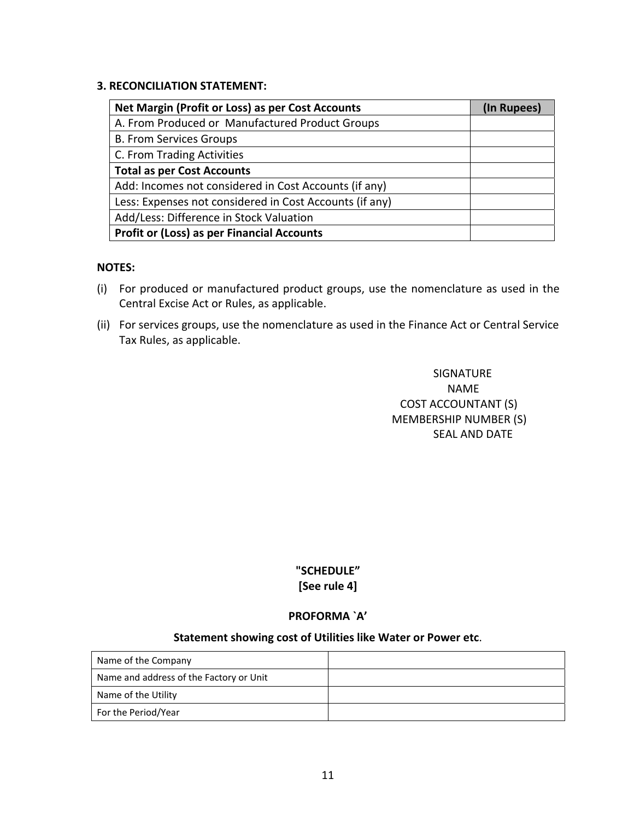## **3. RECONCILIATION STATEMENT:**

| Net Margin (Profit or Loss) as per Cost Accounts        | (In Rupees) |
|---------------------------------------------------------|-------------|
| A. From Produced or Manufactured Product Groups         |             |
| <b>B. From Services Groups</b>                          |             |
| C. From Trading Activities                              |             |
| <b>Total as per Cost Accounts</b>                       |             |
| Add: Incomes not considered in Cost Accounts (if any)   |             |
| Less: Expenses not considered in Cost Accounts (if any) |             |
| Add/Less: Difference in Stock Valuation                 |             |
| <b>Profit or (Loss) as per Financial Accounts</b>       |             |

### **NOTES:**

- (i) For produced or manufactured product groups, use the nomenclature as used in the Central Excise Act or Rules, as applicable.
- (ii) For services groups, use the nomenclature as used in the Finance Act or Central Service Tax Rules, as applicable.

## SIGNATURE NAME And the contract of the contract of the contract of the contract of the contract of the contract of the contract of the contract of the contract of the contract of the contract of the contract of the contract of the c COST ACCOUNTANT (S) MEMBERSHIP NUMBER (S) SEAL AND DATE

## **"SCHEDULE" [See rule 4]**

## **PROFORMA `A'**

#### **Statement showing cost of Utilities like Water or Power etc**.

| Name of the Company                     |  |
|-----------------------------------------|--|
| Name and address of the Factory or Unit |  |
| Name of the Utility                     |  |
| For the Period/Year                     |  |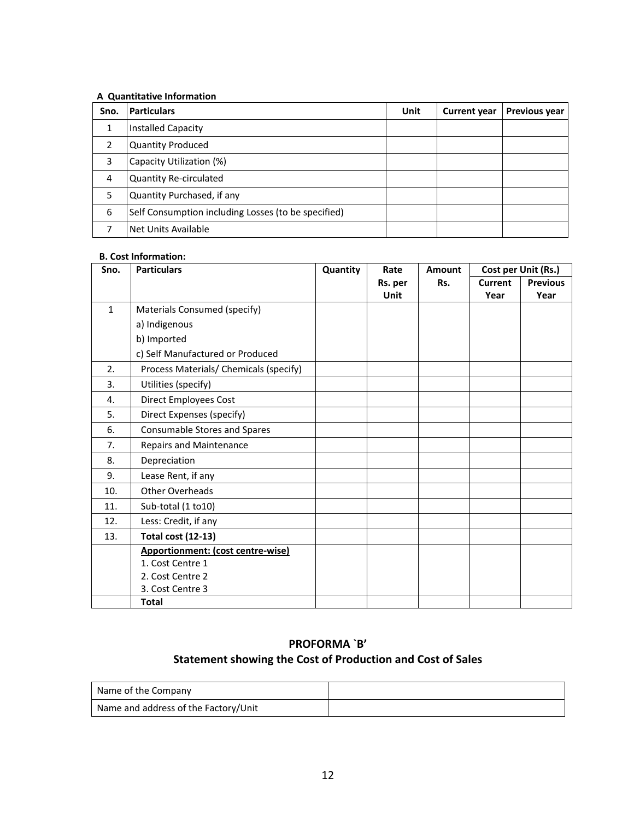#### **A Quantitative Information**

| Sno. | <b>Particulars</b>                                  | Unit | <b>Current year</b> | Previous year |
|------|-----------------------------------------------------|------|---------------------|---------------|
| 1    | Installed Capacity                                  |      |                     |               |
| 2    | <b>Quantity Produced</b>                            |      |                     |               |
| 3    | Capacity Utilization (%)                            |      |                     |               |
| 4    | <b>Quantity Re-circulated</b>                       |      |                     |               |
| 5    | Quantity Purchased, if any                          |      |                     |               |
| 6    | Self Consumption including Losses (to be specified) |      |                     |               |
|      | Net Units Available                                 |      |                     |               |

### **B. Cost Information:**

| Sno.         | <b>Particulars</b>                     | Quantity | Rate        | <b>Amount</b> |                | Cost per Unit (Rs.) |
|--------------|----------------------------------------|----------|-------------|---------------|----------------|---------------------|
|              |                                        |          | Rs. per     | Rs.           | <b>Current</b> | <b>Previous</b>     |
|              |                                        |          | <b>Unit</b> |               | Year           | Year                |
| $\mathbf{1}$ | Materials Consumed (specify)           |          |             |               |                |                     |
|              | a) Indigenous                          |          |             |               |                |                     |
|              | b) Imported                            |          |             |               |                |                     |
|              | c) Self Manufactured or Produced       |          |             |               |                |                     |
| 2.           | Process Materials/ Chemicals (specify) |          |             |               |                |                     |
| 3.           | Utilities (specify)                    |          |             |               |                |                     |
| 4.           | <b>Direct Employees Cost</b>           |          |             |               |                |                     |
| 5.           | Direct Expenses (specify)              |          |             |               |                |                     |
| 6.           | Consumable Stores and Spares           |          |             |               |                |                     |
| 7.           | Repairs and Maintenance                |          |             |               |                |                     |
| 8.           | Depreciation                           |          |             |               |                |                     |
| 9.           | Lease Rent, if any                     |          |             |               |                |                     |
| 10.          | Other Overheads                        |          |             |               |                |                     |
| 11.          | Sub-total (1 to10)                     |          |             |               |                |                     |
| 12.          | Less: Credit, if any                   |          |             |               |                |                     |
| 13.          | <b>Total cost (12-13)</b>              |          |             |               |                |                     |
|              | Apportionment: (cost centre-wise)      |          |             |               |                |                     |
|              | 1. Cost Centre 1                       |          |             |               |                |                     |
|              | 2. Cost Centre 2                       |          |             |               |                |                     |
|              | 3. Cost Centre 3                       |          |             |               |                |                     |
|              | Total                                  |          |             |               |                |                     |

## **PROFORMA `B' Statement showing the Cost of Production and Cost of Sales**

| Name of the Company                  |  |
|--------------------------------------|--|
| Name and address of the Factory/Unit |  |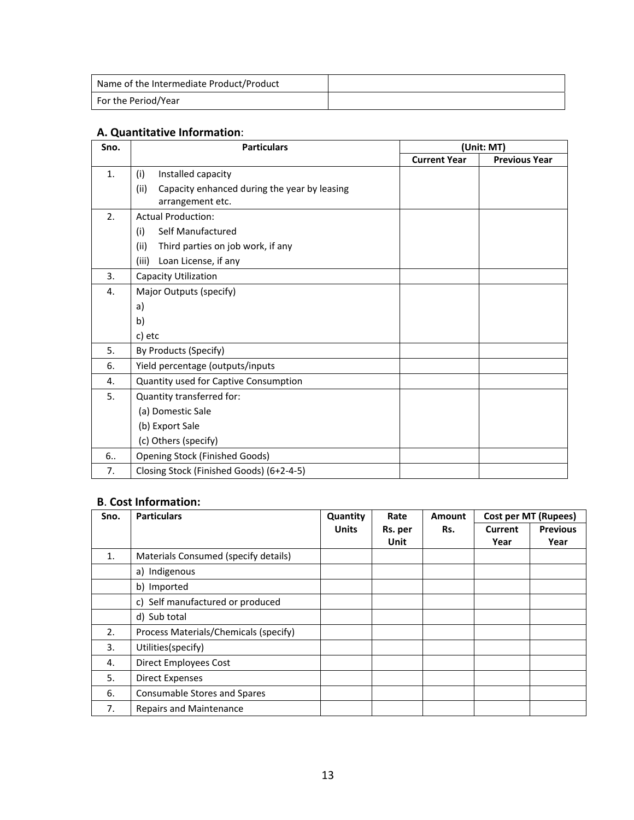| Name of the Intermediate Product/Product |  |
|------------------------------------------|--|
| For the Period/Year                      |  |

## **A. Quantitative Information**:

| Sno. | <b>Particulars</b>                                                       |                     | (Unit: MT)           |
|------|--------------------------------------------------------------------------|---------------------|----------------------|
|      |                                                                          | <b>Current Year</b> | <b>Previous Year</b> |
| 1.   | Installed capacity<br>(i)                                                |                     |                      |
|      | (ii)<br>Capacity enhanced during the year by leasing<br>arrangement etc. |                     |                      |
| 2.   | <b>Actual Production:</b>                                                |                     |                      |
|      | Self Manufactured<br>(i)                                                 |                     |                      |
|      | Third parties on job work, if any<br>(ii)                                |                     |                      |
|      | (iii)<br>Loan License, if any                                            |                     |                      |
| 3.   | Capacity Utilization                                                     |                     |                      |
| 4.   | Major Outputs (specify)                                                  |                     |                      |
|      | a)                                                                       |                     |                      |
|      | b)                                                                       |                     |                      |
|      | c) etc                                                                   |                     |                      |
| 5.   | By Products (Specify)                                                    |                     |                      |
| 6.   | Yield percentage (outputs/inputs                                         |                     |                      |
| 4.   | Quantity used for Captive Consumption                                    |                     |                      |
| 5.   | Quantity transferred for:                                                |                     |                      |
|      | (a) Domestic Sale                                                        |                     |                      |
|      | (b) Export Sale                                                          |                     |                      |
|      | (c) Others (specify)                                                     |                     |                      |
| 6    | <b>Opening Stock (Finished Goods)</b>                                    |                     |                      |
| 7.   | Closing Stock (Finished Goods) (6+2-4-5)                                 |                     |                      |

## **B**. **Cost Information:**

| Sno.           | <b>Particulars</b>                    | Quantity     | Rate    | <b>Amount</b> | <b>Cost per MT (Rupees)</b> |                 |  |  |
|----------------|---------------------------------------|--------------|---------|---------------|-----------------------------|-----------------|--|--|
|                |                                       | <b>Units</b> | Rs. per | Rs.           | Current                     | <b>Previous</b> |  |  |
|                |                                       |              | Unit    |               | Year                        | Year            |  |  |
| $\mathbf{1}$ . | Materials Consumed (specify details)  |              |         |               |                             |                 |  |  |
|                | a) Indigenous                         |              |         |               |                             |                 |  |  |
|                | b) Imported                           |              |         |               |                             |                 |  |  |
|                | c) Self manufactured or produced      |              |         |               |                             |                 |  |  |
|                | d) Sub total                          |              |         |               |                             |                 |  |  |
| 2.             | Process Materials/Chemicals (specify) |              |         |               |                             |                 |  |  |
| 3.             | Utilities(specify)                    |              |         |               |                             |                 |  |  |
| 4.             | <b>Direct Employees Cost</b>          |              |         |               |                             |                 |  |  |
| 5.             | <b>Direct Expenses</b>                |              |         |               |                             |                 |  |  |
| 6.             | Consumable Stores and Spares          |              |         |               |                             |                 |  |  |
| 7.             | <b>Repairs and Maintenance</b>        |              |         |               |                             |                 |  |  |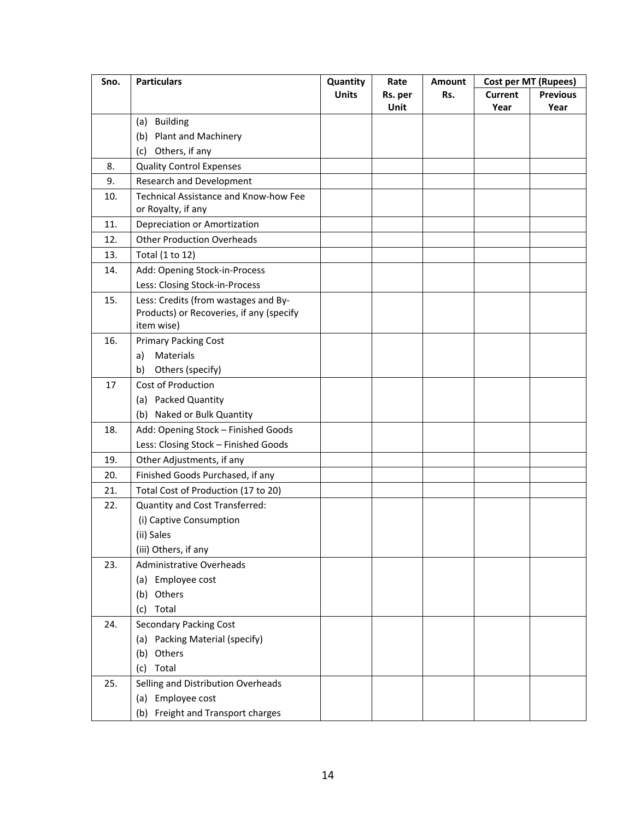| Sno. | <b>Particulars</b>                                                                                                                                                                                                                                                                    | Quantity     | Rate    | <b>Amount</b> | <b>Cost per MT (Rupees)</b> |                 |  |  |
|------|---------------------------------------------------------------------------------------------------------------------------------------------------------------------------------------------------------------------------------------------------------------------------------------|--------------|---------|---------------|-----------------------------|-----------------|--|--|
|      |                                                                                                                                                                                                                                                                                       | <b>Units</b> | Rs. per | Rs.           | <b>Current</b>              | <b>Previous</b> |  |  |
|      |                                                                                                                                                                                                                                                                                       |              | Unit    |               | Year                        | Year            |  |  |
|      | (a) Building                                                                                                                                                                                                                                                                          |              |         |               |                             |                 |  |  |
|      | (b) Plant and Machinery                                                                                                                                                                                                                                                               |              |         |               |                             |                 |  |  |
|      | Others, if any<br>(c)                                                                                                                                                                                                                                                                 |              |         |               |                             |                 |  |  |
| 8.   | <b>Quality Control Expenses</b>                                                                                                                                                                                                                                                       |              |         |               |                             |                 |  |  |
| 9.   | Research and Development                                                                                                                                                                                                                                                              |              |         |               |                             |                 |  |  |
| 10.  | Technical Assistance and Know-how Fee                                                                                                                                                                                                                                                 |              |         |               |                             |                 |  |  |
|      | or Royalty, if any                                                                                                                                                                                                                                                                    |              |         |               |                             |                 |  |  |
| 11.  | Depreciation or Amortization                                                                                                                                                                                                                                                          |              |         |               |                             |                 |  |  |
| 12.  | <b>Other Production Overheads</b>                                                                                                                                                                                                                                                     |              |         |               |                             |                 |  |  |
| 13.  | Total (1 to 12)                                                                                                                                                                                                                                                                       |              |         |               |                             |                 |  |  |
| 14.  | Add: Opening Stock-in-Process                                                                                                                                                                                                                                                         |              |         |               |                             |                 |  |  |
|      | Less: Closing Stock-in-Process                                                                                                                                                                                                                                                        |              |         |               |                             |                 |  |  |
| 15.  | Less: Credits (from wastages and By-                                                                                                                                                                                                                                                  |              |         |               |                             |                 |  |  |
|      | Products) or Recoveries, if any (specify                                                                                                                                                                                                                                              |              |         |               |                             |                 |  |  |
|      |                                                                                                                                                                                                                                                                                       |              |         |               |                             |                 |  |  |
| 16.  |                                                                                                                                                                                                                                                                                       |              |         |               |                             |                 |  |  |
|      | a)                                                                                                                                                                                                                                                                                    |              |         |               |                             |                 |  |  |
|      | Others (specify)<br>b)                                                                                                                                                                                                                                                                |              |         |               |                             |                 |  |  |
| 17   | <b>Cost of Production</b>                                                                                                                                                                                                                                                             |              |         |               |                             |                 |  |  |
|      | (a) Packed Quantity                                                                                                                                                                                                                                                                   |              |         |               |                             |                 |  |  |
|      | (b) Naked or Bulk Quantity                                                                                                                                                                                                                                                            |              |         |               |                             |                 |  |  |
| 18.  | Add: Opening Stock - Finished Goods                                                                                                                                                                                                                                                   |              |         |               |                             |                 |  |  |
|      | Less: Closing Stock - Finished Goods                                                                                                                                                                                                                                                  |              |         |               |                             |                 |  |  |
| 19.  | Other Adjustments, if any                                                                                                                                                                                                                                                             |              |         |               |                             |                 |  |  |
| 20.  | Finished Goods Purchased, if any                                                                                                                                                                                                                                                      |              |         |               |                             |                 |  |  |
| 21.  | Total Cost of Production (17 to 20)                                                                                                                                                                                                                                                   |              |         |               |                             |                 |  |  |
| 22.  | Quantity and Cost Transferred:                                                                                                                                                                                                                                                        |              |         |               |                             |                 |  |  |
|      | (i) Captive Consumption                                                                                                                                                                                                                                                               |              |         |               |                             |                 |  |  |
|      | (ii) Sales                                                                                                                                                                                                                                                                            |              |         |               |                             |                 |  |  |
|      | (iii) Others, if any                                                                                                                                                                                                                                                                  |              |         |               |                             |                 |  |  |
| 23.  | <b>Administrative Overheads</b>                                                                                                                                                                                                                                                       |              |         |               |                             |                 |  |  |
|      |                                                                                                                                                                                                                                                                                       |              |         |               |                             |                 |  |  |
|      | (b) Others                                                                                                                                                                                                                                                                            |              |         |               |                             |                 |  |  |
|      | (c)                                                                                                                                                                                                                                                                                   |              |         |               |                             |                 |  |  |
| 24.  |                                                                                                                                                                                                                                                                                       |              |         |               |                             |                 |  |  |
|      |                                                                                                                                                                                                                                                                                       |              |         |               |                             |                 |  |  |
|      |                                                                                                                                                                                                                                                                                       |              |         |               |                             |                 |  |  |
|      |                                                                                                                                                                                                                                                                                       |              |         |               |                             |                 |  |  |
|      |                                                                                                                                                                                                                                                                                       |              |         |               |                             |                 |  |  |
|      |                                                                                                                                                                                                                                                                                       |              |         |               |                             |                 |  |  |
|      |                                                                                                                                                                                                                                                                                       |              |         |               |                             |                 |  |  |
| 25.  | item wise)<br><b>Primary Packing Cost</b><br>Materials<br>(a) Employee cost<br>Total<br><b>Secondary Packing Cost</b><br>(a) Packing Material (specify)<br>Others<br>(b)<br>(c) Total<br>Selling and Distribution Overheads<br>(a) Employee cost<br>(b) Freight and Transport charges |              |         |               |                             |                 |  |  |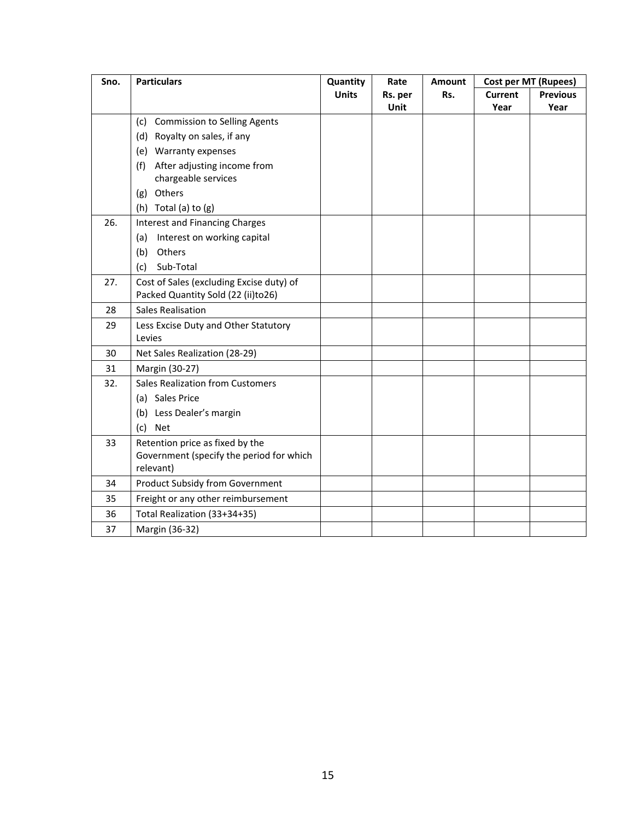| Sno. | <b>Particulars</b>                       | Quantity     | Rate    | <b>Amount</b> | <b>Cost per MT (Rupees)</b> |                 |  |  |
|------|------------------------------------------|--------------|---------|---------------|-----------------------------|-----------------|--|--|
|      |                                          | <b>Units</b> | Rs. per | Rs.           | <b>Current</b>              | <b>Previous</b> |  |  |
|      |                                          |              | Unit    |               | Year                        | Year            |  |  |
|      | (c) Commission to Selling Agents         |              |         |               |                             |                 |  |  |
|      | (d) Royalty on sales, if any             |              |         |               |                             |                 |  |  |
|      | (e) Warranty expenses                    |              |         |               |                             |                 |  |  |
|      | After adjusting income from<br>(f)       |              |         |               |                             |                 |  |  |
|      | chargeable services                      |              |         |               |                             |                 |  |  |
|      | Others<br>(g)                            |              |         |               |                             |                 |  |  |
|      | (h) Total (a) to $(g)$                   |              |         |               |                             |                 |  |  |
| 26.  | <b>Interest and Financing Charges</b>    |              |         |               |                             |                 |  |  |
|      | Interest on working capital<br>(a)       |              |         |               |                             |                 |  |  |
|      | Others<br>(b)                            |              |         |               |                             |                 |  |  |
|      | Sub-Total<br>(c)                         |              |         |               |                             |                 |  |  |
| 27.  | Cost of Sales (excluding Excise duty) of |              |         |               |                             |                 |  |  |
|      | Packed Quantity Sold (22 (ii)to26)       |              |         |               |                             |                 |  |  |
| 28   | <b>Sales Realisation</b>                 |              |         |               |                             |                 |  |  |
| 29   | Less Excise Duty and Other Statutory     |              |         |               |                             |                 |  |  |
|      | Levies                                   |              |         |               |                             |                 |  |  |
| 30   | Net Sales Realization (28-29)            |              |         |               |                             |                 |  |  |
| 31   | Margin (30-27)                           |              |         |               |                             |                 |  |  |
| 32.  | <b>Sales Realization from Customers</b>  |              |         |               |                             |                 |  |  |
|      | (a) Sales Price                          |              |         |               |                             |                 |  |  |
|      | (b) Less Dealer's margin                 |              |         |               |                             |                 |  |  |
|      | (c)<br><b>Net</b>                        |              |         |               |                             |                 |  |  |
| 33   | Retention price as fixed by the          |              |         |               |                             |                 |  |  |
|      | Government (specify the period for which |              |         |               |                             |                 |  |  |
|      | relevant)                                |              |         |               |                             |                 |  |  |
| 34   | <b>Product Subsidy from Government</b>   |              |         |               |                             |                 |  |  |
| 35   | Freight or any other reimbursement       |              |         |               |                             |                 |  |  |
| 36   | Total Realization (33+34+35)             |              |         |               |                             |                 |  |  |
| 37   | Margin (36-32)                           |              |         |               |                             |                 |  |  |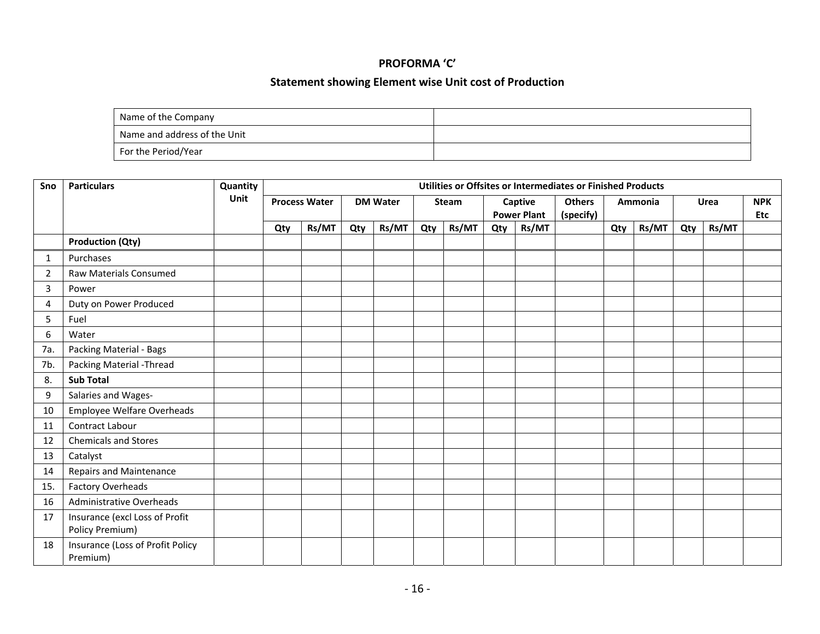#### **PROFORMA 'C'**

#### **Statement showing Element wise Unit cost of Production**

| Name of the Company          |  |
|------------------------------|--|
| Name and address of the Unit |  |
| For the Period/Year          |  |

| Sno            | <b>Particulars</b>                                | Quantity |                                         | Utilities or Offsites or Intermediates or Finished Products |     |              |     |                    |               |           |  |     |             |            |            |  |  |
|----------------|---------------------------------------------------|----------|-----------------------------------------|-------------------------------------------------------------|-----|--------------|-----|--------------------|---------------|-----------|--|-----|-------------|------------|------------|--|--|
|                |                                                   | Unit     | <b>Process Water</b><br><b>DM Water</b> |                                                             |     | <b>Steam</b> |     | Captive            | <b>Others</b> | Ammonia   |  |     | <b>Urea</b> | <b>NPK</b> |            |  |  |
|                |                                                   |          |                                         |                                                             |     |              |     | <b>Power Plant</b> |               | (specify) |  |     |             |            | <b>Etc</b> |  |  |
|                |                                                   |          | Qty                                     | Rs/MT                                                       | Qty | Rs/MT        | Qty | Rs/MT              | Qty           | Rs/MT     |  | Qty | Rs/MT       | Qty        | Rs/MT      |  |  |
|                | <b>Production (Qty)</b>                           |          |                                         |                                                             |     |              |     |                    |               |           |  |     |             |            |            |  |  |
| 1              | Purchases                                         |          |                                         |                                                             |     |              |     |                    |               |           |  |     |             |            |            |  |  |
| $\overline{2}$ | Raw Materials Consumed                            |          |                                         |                                                             |     |              |     |                    |               |           |  |     |             |            |            |  |  |
| 3              | Power                                             |          |                                         |                                                             |     |              |     |                    |               |           |  |     |             |            |            |  |  |
| 4              | Duty on Power Produced                            |          |                                         |                                                             |     |              |     |                    |               |           |  |     |             |            |            |  |  |
| 5              | Fuel                                              |          |                                         |                                                             |     |              |     |                    |               |           |  |     |             |            |            |  |  |
| 6              | Water                                             |          |                                         |                                                             |     |              |     |                    |               |           |  |     |             |            |            |  |  |
| 7a.            | Packing Material - Bags                           |          |                                         |                                                             |     |              |     |                    |               |           |  |     |             |            |            |  |  |
| 7b.            | Packing Material - Thread                         |          |                                         |                                                             |     |              |     |                    |               |           |  |     |             |            |            |  |  |
| 8.             | <b>Sub Total</b>                                  |          |                                         |                                                             |     |              |     |                    |               |           |  |     |             |            |            |  |  |
| 9              | Salaries and Wages-                               |          |                                         |                                                             |     |              |     |                    |               |           |  |     |             |            |            |  |  |
| 10             | Employee Welfare Overheads                        |          |                                         |                                                             |     |              |     |                    |               |           |  |     |             |            |            |  |  |
| 11             | Contract Labour                                   |          |                                         |                                                             |     |              |     |                    |               |           |  |     |             |            |            |  |  |
| 12             | <b>Chemicals and Stores</b>                       |          |                                         |                                                             |     |              |     |                    |               |           |  |     |             |            |            |  |  |
| 13             | Catalyst                                          |          |                                         |                                                             |     |              |     |                    |               |           |  |     |             |            |            |  |  |
| 14             | <b>Repairs and Maintenance</b>                    |          |                                         |                                                             |     |              |     |                    |               |           |  |     |             |            |            |  |  |
| 15.            | <b>Factory Overheads</b>                          |          |                                         |                                                             |     |              |     |                    |               |           |  |     |             |            |            |  |  |
| 16             | <b>Administrative Overheads</b>                   |          |                                         |                                                             |     |              |     |                    |               |           |  |     |             |            |            |  |  |
| 17             | Insurance (excl Loss of Profit<br>Policy Premium) |          |                                         |                                                             |     |              |     |                    |               |           |  |     |             |            |            |  |  |
| 18             | Insurance (Loss of Profit Policy<br>Premium)      |          |                                         |                                                             |     |              |     |                    |               |           |  |     |             |            |            |  |  |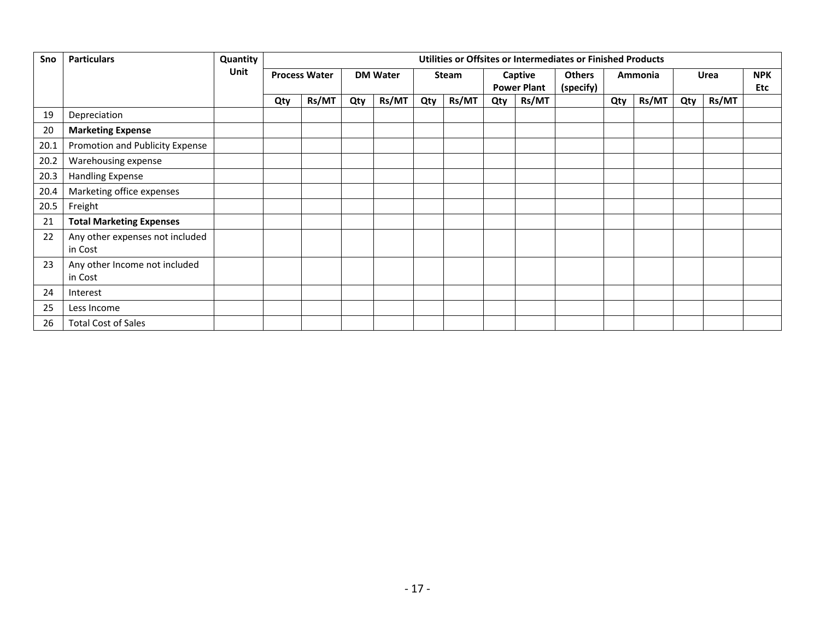| Sno  | <b>Particulars</b>                         | Quantity | Utilities or Offsites or Intermediates or Finished Products |                                         |     |       |     |                               |     |                            |         |     |       |     |                   |  |
|------|--------------------------------------------|----------|-------------------------------------------------------------|-----------------------------------------|-----|-------|-----|-------------------------------|-----|----------------------------|---------|-----|-------|-----|-------------------|--|
|      |                                            | Unit     |                                                             | <b>Process Water</b><br><b>DM Water</b> |     | Steam |     | Captive<br><b>Power Plant</b> |     | <b>Others</b><br>(specify) | Ammonia |     | Urea  |     | <b>NPK</b><br>Etc |  |
|      |                                            |          | Qty                                                         | Rs/MT                                   | Qty | Rs/MT | Qty | Rs/MT                         | Qty | Rs/MT                      |         | Qty | Rs/MT | Qty | Rs/MT             |  |
| 19   | Depreciation                               |          |                                                             |                                         |     |       |     |                               |     |                            |         |     |       |     |                   |  |
| 20   | <b>Marketing Expense</b>                   |          |                                                             |                                         |     |       |     |                               |     |                            |         |     |       |     |                   |  |
| 20.1 | Promotion and Publicity Expense            |          |                                                             |                                         |     |       |     |                               |     |                            |         |     |       |     |                   |  |
| 20.2 | Warehousing expense                        |          |                                                             |                                         |     |       |     |                               |     |                            |         |     |       |     |                   |  |
| 20.3 | Handling Expense                           |          |                                                             |                                         |     |       |     |                               |     |                            |         |     |       |     |                   |  |
| 20.4 | Marketing office expenses                  |          |                                                             |                                         |     |       |     |                               |     |                            |         |     |       |     |                   |  |
| 20.5 | Freight                                    |          |                                                             |                                         |     |       |     |                               |     |                            |         |     |       |     |                   |  |
| 21   | <b>Total Marketing Expenses</b>            |          |                                                             |                                         |     |       |     |                               |     |                            |         |     |       |     |                   |  |
| 22   | Any other expenses not included<br>in Cost |          |                                                             |                                         |     |       |     |                               |     |                            |         |     |       |     |                   |  |
| 23   | Any other Income not included<br>in Cost   |          |                                                             |                                         |     |       |     |                               |     |                            |         |     |       |     |                   |  |
| 24   | Interest                                   |          |                                                             |                                         |     |       |     |                               |     |                            |         |     |       |     |                   |  |
| 25   | Less Income                                |          |                                                             |                                         |     |       |     |                               |     |                            |         |     |       |     |                   |  |
| 26   | <b>Total Cost of Sales</b>                 |          |                                                             |                                         |     |       |     |                               |     |                            |         |     |       |     |                   |  |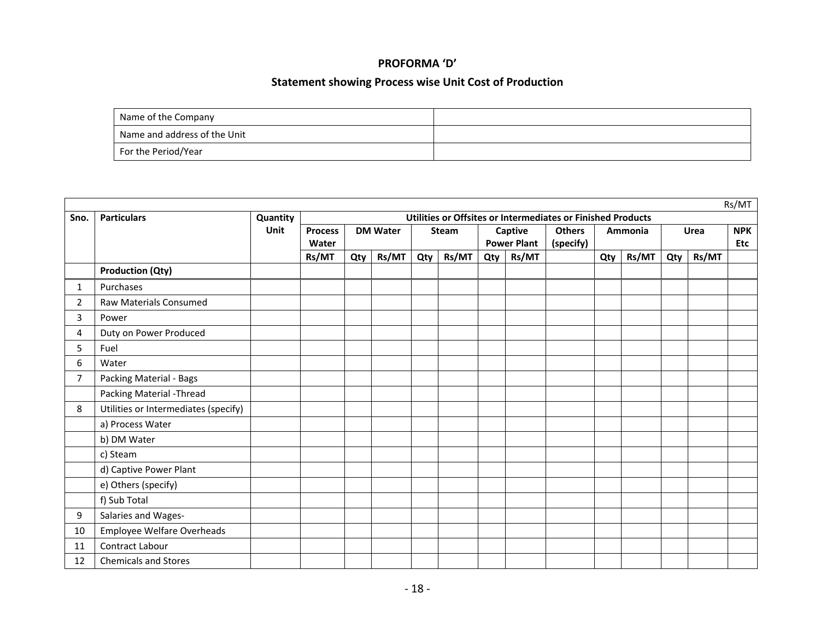#### **PROFORMA 'D'**

#### **Statement showing Process wise Unit Cost of Production**

| Name of the Company          |  |
|------------------------------|--|
| Name and address of the Unit |  |
| For the Period/Year          |  |

|      |                                      |          |                |     |                 |     |       |                    |       |                                                             |         |       |     |       | Rs/MT      |
|------|--------------------------------------|----------|----------------|-----|-----------------|-----|-------|--------------------|-------|-------------------------------------------------------------|---------|-------|-----|-------|------------|
| Sno. | <b>Particulars</b>                   | Quantity |                |     |                 |     |       |                    |       | Utilities or Offsites or Intermediates or Finished Products |         |       |     |       |            |
|      |                                      | Unit     | <b>Process</b> |     | <b>DM Water</b> |     | Steam | Captive            |       | <b>Others</b>                                               | Ammonia |       |     | Urea  | <b>NPK</b> |
|      |                                      |          | Water          |     |                 |     |       | <b>Power Plant</b> |       | (specify)                                                   |         |       |     |       | Etc        |
|      |                                      |          | Rs/MT          | Qty | Rs/MT           | Qty | Rs/MT | Qty                | Rs/MT |                                                             | Qty     | Rs/MT | Qty | Rs/MT |            |
|      | <b>Production (Qty)</b>              |          |                |     |                 |     |       |                    |       |                                                             |         |       |     |       |            |
| 1    | Purchases                            |          |                |     |                 |     |       |                    |       |                                                             |         |       |     |       |            |
| 2    | <b>Raw Materials Consumed</b>        |          |                |     |                 |     |       |                    |       |                                                             |         |       |     |       |            |
| 3    | Power                                |          |                |     |                 |     |       |                    |       |                                                             |         |       |     |       |            |
| 4    | Duty on Power Produced               |          |                |     |                 |     |       |                    |       |                                                             |         |       |     |       |            |
| 5    | Fuel                                 |          |                |     |                 |     |       |                    |       |                                                             |         |       |     |       |            |
| 6    | Water                                |          |                |     |                 |     |       |                    |       |                                                             |         |       |     |       |            |
| 7    | Packing Material - Bags              |          |                |     |                 |     |       |                    |       |                                                             |         |       |     |       |            |
|      | Packing Material - Thread            |          |                |     |                 |     |       |                    |       |                                                             |         |       |     |       |            |
| 8    | Utilities or Intermediates (specify) |          |                |     |                 |     |       |                    |       |                                                             |         |       |     |       |            |
|      | a) Process Water                     |          |                |     |                 |     |       |                    |       |                                                             |         |       |     |       |            |
|      | b) DM Water                          |          |                |     |                 |     |       |                    |       |                                                             |         |       |     |       |            |
|      | c) Steam                             |          |                |     |                 |     |       |                    |       |                                                             |         |       |     |       |            |
|      | d) Captive Power Plant               |          |                |     |                 |     |       |                    |       |                                                             |         |       |     |       |            |
|      | e) Others (specify)                  |          |                |     |                 |     |       |                    |       |                                                             |         |       |     |       |            |
|      | f) Sub Total                         |          |                |     |                 |     |       |                    |       |                                                             |         |       |     |       |            |
| 9    | Salaries and Wages-                  |          |                |     |                 |     |       |                    |       |                                                             |         |       |     |       |            |
| 10   | Employee Welfare Overheads           |          |                |     |                 |     |       |                    |       |                                                             |         |       |     |       |            |
| 11   | Contract Labour                      |          |                |     |                 |     |       |                    |       |                                                             |         |       |     |       |            |
| 12   | <b>Chemicals and Stores</b>          |          |                |     |                 |     |       |                    |       |                                                             |         |       |     |       |            |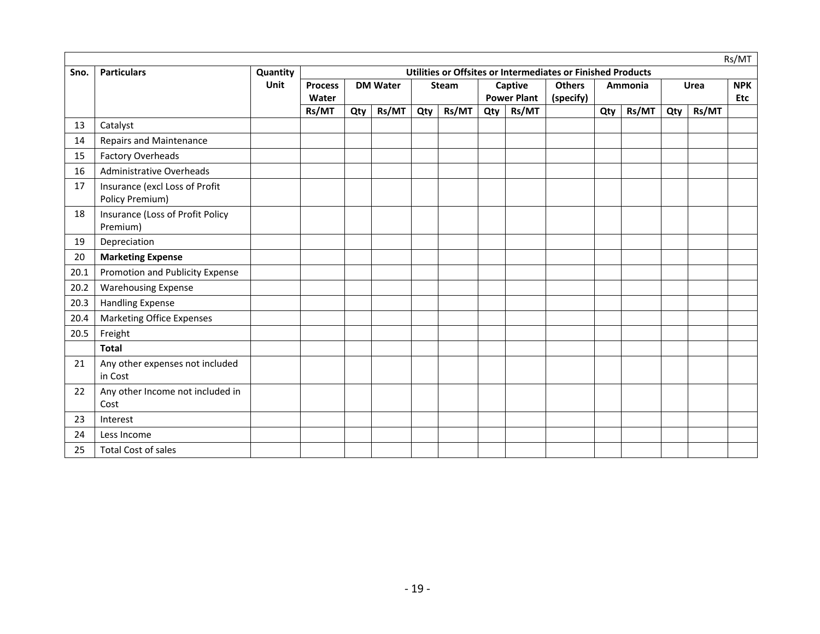|      |                                                   |          |                |     |                 |     |              |     |                    |                                                             |     |         |     |             | Rs/MT      |
|------|---------------------------------------------------|----------|----------------|-----|-----------------|-----|--------------|-----|--------------------|-------------------------------------------------------------|-----|---------|-----|-------------|------------|
| Sno. | <b>Particulars</b>                                | Quantity |                |     |                 |     |              |     |                    | Utilities or Offsites or Intermediates or Finished Products |     |         |     |             |            |
|      |                                                   | Unit     | <b>Process</b> |     | <b>DM Water</b> |     | <b>Steam</b> |     | Captive            | <b>Others</b>                                               |     | Ammonia |     | <b>Urea</b> | <b>NPK</b> |
|      |                                                   |          | Water          |     |                 |     |              |     | <b>Power Plant</b> | (specify)                                                   |     |         |     |             | <b>Etc</b> |
|      |                                                   |          | Rs/MT          | Qty | Rs/MT           | Qty | Rs/MT        | Qty | Rs/MT              |                                                             | Qty | Rs/MT   | Qty | Rs/MT       |            |
| 13   | Catalyst                                          |          |                |     |                 |     |              |     |                    |                                                             |     |         |     |             |            |
| 14   | <b>Repairs and Maintenance</b>                    |          |                |     |                 |     |              |     |                    |                                                             |     |         |     |             |            |
| 15   | <b>Factory Overheads</b>                          |          |                |     |                 |     |              |     |                    |                                                             |     |         |     |             |            |
| 16   | <b>Administrative Overheads</b>                   |          |                |     |                 |     |              |     |                    |                                                             |     |         |     |             |            |
| 17   | Insurance (excl Loss of Profit<br>Policy Premium) |          |                |     |                 |     |              |     |                    |                                                             |     |         |     |             |            |
| 18   | Insurance (Loss of Profit Policy<br>Premium)      |          |                |     |                 |     |              |     |                    |                                                             |     |         |     |             |            |
| 19   | Depreciation                                      |          |                |     |                 |     |              |     |                    |                                                             |     |         |     |             |            |
| 20   | <b>Marketing Expense</b>                          |          |                |     |                 |     |              |     |                    |                                                             |     |         |     |             |            |
| 20.1 | Promotion and Publicity Expense                   |          |                |     |                 |     |              |     |                    |                                                             |     |         |     |             |            |
| 20.2 | <b>Warehousing Expense</b>                        |          |                |     |                 |     |              |     |                    |                                                             |     |         |     |             |            |
| 20.3 | <b>Handling Expense</b>                           |          |                |     |                 |     |              |     |                    |                                                             |     |         |     |             |            |
| 20.4 | <b>Marketing Office Expenses</b>                  |          |                |     |                 |     |              |     |                    |                                                             |     |         |     |             |            |
| 20.5 | Freight                                           |          |                |     |                 |     |              |     |                    |                                                             |     |         |     |             |            |
|      | <b>Total</b>                                      |          |                |     |                 |     |              |     |                    |                                                             |     |         |     |             |            |
| 21   | Any other expenses not included<br>in Cost        |          |                |     |                 |     |              |     |                    |                                                             |     |         |     |             |            |
| 22   | Any other Income not included in<br>Cost          |          |                |     |                 |     |              |     |                    |                                                             |     |         |     |             |            |
| 23   | Interest                                          |          |                |     |                 |     |              |     |                    |                                                             |     |         |     |             |            |
| 24   | Less Income                                       |          |                |     |                 |     |              |     |                    |                                                             |     |         |     |             |            |
| 25   | <b>Total Cost of sales</b>                        |          |                |     |                 |     |              |     |                    |                                                             |     |         |     |             |            |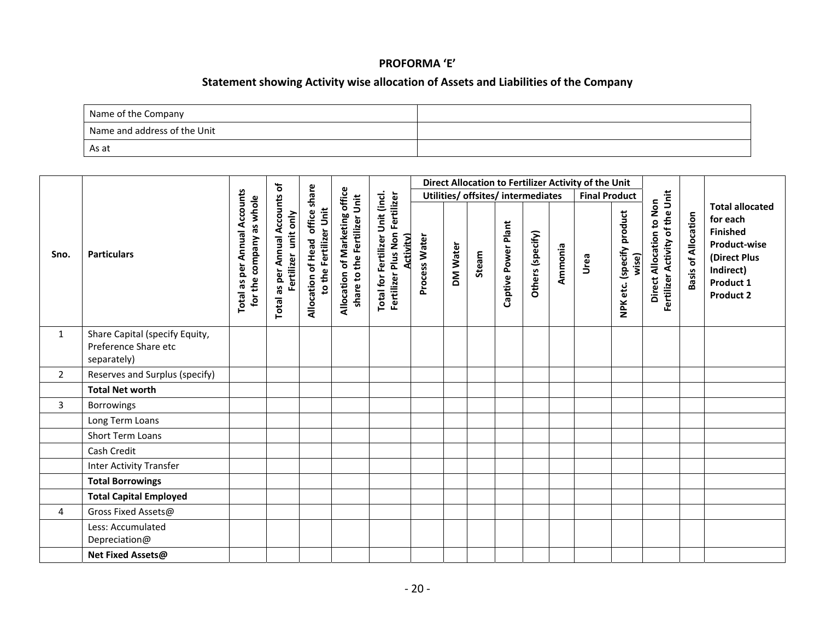#### **PROFORMA 'E'**

### **Statement showing Activity wise allocation of Assets and Liabilities of the Company**

| Name of the Company          |  |
|------------------------------|--|
| Name and address of the Unit |  |
| As at                        |  |

|                |                                                                       |                                                          |                                                         |                                                           |                                                                |                                                                                       |               |          |                                    |                     |                  |         | Direct Allocation to Fertilizer Activity of the Unit |                                    |                                                             |                            |                                                                                                                                            |
|----------------|-----------------------------------------------------------------------|----------------------------------------------------------|---------------------------------------------------------|-----------------------------------------------------------|----------------------------------------------------------------|---------------------------------------------------------------------------------------|---------------|----------|------------------------------------|---------------------|------------------|---------|------------------------------------------------------|------------------------------------|-------------------------------------------------------------|----------------------------|--------------------------------------------------------------------------------------------------------------------------------------------|
|                |                                                                       |                                                          |                                                         |                                                           |                                                                |                                                                                       |               |          | Utilities/ offsites/ intermediates |                     |                  |         |                                                      | <b>Final Product</b>               |                                                             |                            |                                                                                                                                            |
| Sno.           | <b>Particulars</b>                                                    | Total as per Annual Accounts<br>for the company as whole | Total as per Annual Accounts of<br>Fertilizer unit only | Allocation of Head office share<br>to the Fertilizer Unit | Allocation of Marketing office<br>share to the Fertilizer Unit | Total for Fertilizer Unit (incl.<br>Fertilizer Plus Non Fertilizer<br><b>Activity</b> | Process Water | DM Water | Steam                              | Captive Power Plant | Others (specify) | Ammonia | Urea                                                 | NPK etc. (specify product<br>wise) | Fertilizer Activity of the Unit<br>Direct Allocation to Non | <b>Basis of Allocation</b> | <b>Total allocated</b><br>for each<br><b>Finished</b><br><b>Product-wise</b><br>(Direct Plus<br>Indirect)<br>Product 1<br><b>Product 2</b> |
| 1              | Share Capital (specify Equity,<br>Preference Share etc<br>separately) |                                                          |                                                         |                                                           |                                                                |                                                                                       |               |          |                                    |                     |                  |         |                                                      |                                    |                                                             |                            |                                                                                                                                            |
| $\overline{2}$ | Reserves and Surplus (specify)                                        |                                                          |                                                         |                                                           |                                                                |                                                                                       |               |          |                                    |                     |                  |         |                                                      |                                    |                                                             |                            |                                                                                                                                            |
|                | <b>Total Net worth</b>                                                |                                                          |                                                         |                                                           |                                                                |                                                                                       |               |          |                                    |                     |                  |         |                                                      |                                    |                                                             |                            |                                                                                                                                            |
| $\overline{3}$ | Borrowings                                                            |                                                          |                                                         |                                                           |                                                                |                                                                                       |               |          |                                    |                     |                  |         |                                                      |                                    |                                                             |                            |                                                                                                                                            |
|                | Long Term Loans                                                       |                                                          |                                                         |                                                           |                                                                |                                                                                       |               |          |                                    |                     |                  |         |                                                      |                                    |                                                             |                            |                                                                                                                                            |
|                | <b>Short Term Loans</b>                                               |                                                          |                                                         |                                                           |                                                                |                                                                                       |               |          |                                    |                     |                  |         |                                                      |                                    |                                                             |                            |                                                                                                                                            |
|                | Cash Credit                                                           |                                                          |                                                         |                                                           |                                                                |                                                                                       |               |          |                                    |                     |                  |         |                                                      |                                    |                                                             |                            |                                                                                                                                            |
|                | <b>Inter Activity Transfer</b>                                        |                                                          |                                                         |                                                           |                                                                |                                                                                       |               |          |                                    |                     |                  |         |                                                      |                                    |                                                             |                            |                                                                                                                                            |
|                | <b>Total Borrowings</b>                                               |                                                          |                                                         |                                                           |                                                                |                                                                                       |               |          |                                    |                     |                  |         |                                                      |                                    |                                                             |                            |                                                                                                                                            |
|                | <b>Total Capital Employed</b>                                         |                                                          |                                                         |                                                           |                                                                |                                                                                       |               |          |                                    |                     |                  |         |                                                      |                                    |                                                             |                            |                                                                                                                                            |
| 4              | Gross Fixed Assets@                                                   |                                                          |                                                         |                                                           |                                                                |                                                                                       |               |          |                                    |                     |                  |         |                                                      |                                    |                                                             |                            |                                                                                                                                            |
|                | Less: Accumulated<br>Depreciation@                                    |                                                          |                                                         |                                                           |                                                                |                                                                                       |               |          |                                    |                     |                  |         |                                                      |                                    |                                                             |                            |                                                                                                                                            |
|                | <b>Net Fixed Assets@</b>                                              |                                                          |                                                         |                                                           |                                                                |                                                                                       |               |          |                                    |                     |                  |         |                                                      |                                    |                                                             |                            |                                                                                                                                            |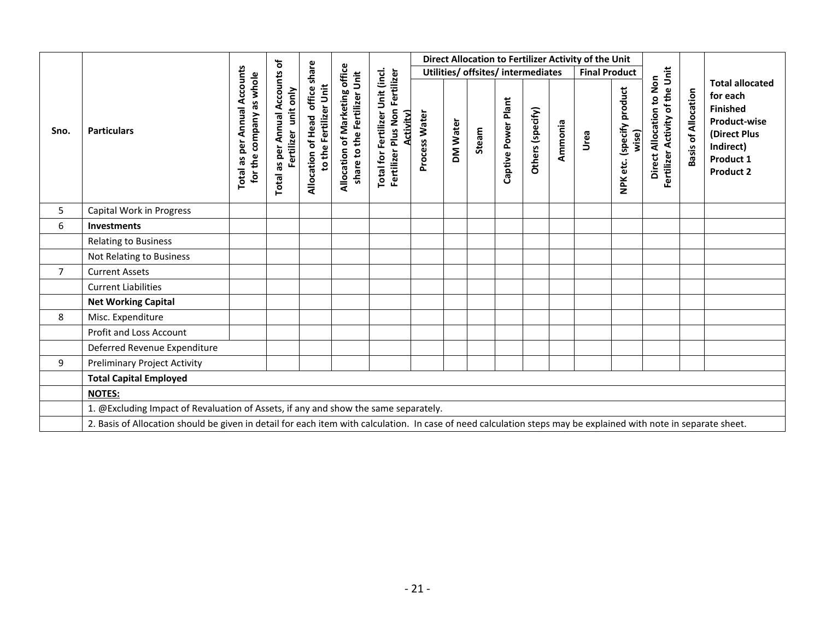|                |                                                                                                                                                                  |                                 | Total as per Annual Accounts of<br>company as whole<br>Fertilizer unit only<br>for the |                                                              | Allocation of Marketing office<br>share to the Fertilizer Unit |                                                                                       |                                    |          |       |                     |                  |         | Direct Allocation to Fertilizer Activity of the Unit |                                    |                                                             |                            |                                                                                                                  |
|----------------|------------------------------------------------------------------------------------------------------------------------------------------------------------------|---------------------------------|----------------------------------------------------------------------------------------|--------------------------------------------------------------|----------------------------------------------------------------|---------------------------------------------------------------------------------------|------------------------------------|----------|-------|---------------------|------------------|---------|------------------------------------------------------|------------------------------------|-------------------------------------------------------------|----------------------------|------------------------------------------------------------------------------------------------------------------|
|                |                                                                                                                                                                  |                                 |                                                                                        | share<br>to the Fertilizer Unit<br>Allocation of Head office |                                                                |                                                                                       | Utilities/ offsites/ intermediates |          |       |                     |                  |         | <b>Final Product</b>                                 |                                    |                                                             |                            | <b>Total allocated</b>                                                                                           |
| Sno.           | <b>Particulars</b>                                                                                                                                               | per Annual Accounts<br>Total as |                                                                                        |                                                              |                                                                | Total for Fertilizer Unit (incl.<br>Fertilizer Plus Non Fertilizer<br><b>Activity</b> | Process Water                      | DM Water | Steam | Captive Power Plant | Others (specify) | Ammonia | Urea                                                 | NPK etc. (specify product<br>wise) | Fertilizer Activity of the Unit<br>Direct Allocation to Non | <b>Basis of Allocation</b> | for each<br><b>Finished</b><br><b>Product-wise</b><br>(Direct Plus<br>Indirect)<br>Product 1<br><b>Product 2</b> |
| 5              | Capital Work in Progress                                                                                                                                         |                                 |                                                                                        |                                                              |                                                                |                                                                                       |                                    |          |       |                     |                  |         |                                                      |                                    |                                                             |                            |                                                                                                                  |
| 6              | <b>Investments</b>                                                                                                                                               |                                 |                                                                                        |                                                              |                                                                |                                                                                       |                                    |          |       |                     |                  |         |                                                      |                                    |                                                             |                            |                                                                                                                  |
|                | <b>Relating to Business</b>                                                                                                                                      |                                 |                                                                                        |                                                              |                                                                |                                                                                       |                                    |          |       |                     |                  |         |                                                      |                                    |                                                             |                            |                                                                                                                  |
|                | Not Relating to Business                                                                                                                                         |                                 |                                                                                        |                                                              |                                                                |                                                                                       |                                    |          |       |                     |                  |         |                                                      |                                    |                                                             |                            |                                                                                                                  |
| $\overline{7}$ | <b>Current Assets</b>                                                                                                                                            |                                 |                                                                                        |                                                              |                                                                |                                                                                       |                                    |          |       |                     |                  |         |                                                      |                                    |                                                             |                            |                                                                                                                  |
|                | <b>Current Liabilities</b>                                                                                                                                       |                                 |                                                                                        |                                                              |                                                                |                                                                                       |                                    |          |       |                     |                  |         |                                                      |                                    |                                                             |                            |                                                                                                                  |
|                | <b>Net Working Capital</b>                                                                                                                                       |                                 |                                                                                        |                                                              |                                                                |                                                                                       |                                    |          |       |                     |                  |         |                                                      |                                    |                                                             |                            |                                                                                                                  |
| 8              | Misc. Expenditure                                                                                                                                                |                                 |                                                                                        |                                                              |                                                                |                                                                                       |                                    |          |       |                     |                  |         |                                                      |                                    |                                                             |                            |                                                                                                                  |
|                | Profit and Loss Account                                                                                                                                          |                                 |                                                                                        |                                                              |                                                                |                                                                                       |                                    |          |       |                     |                  |         |                                                      |                                    |                                                             |                            |                                                                                                                  |
|                | Deferred Revenue Expenditure                                                                                                                                     |                                 |                                                                                        |                                                              |                                                                |                                                                                       |                                    |          |       |                     |                  |         |                                                      |                                    |                                                             |                            |                                                                                                                  |
| 9              | <b>Preliminary Project Activity</b>                                                                                                                              |                                 |                                                                                        |                                                              |                                                                |                                                                                       |                                    |          |       |                     |                  |         |                                                      |                                    |                                                             |                            |                                                                                                                  |
|                | <b>Total Capital Employed</b>                                                                                                                                    |                                 |                                                                                        |                                                              |                                                                |                                                                                       |                                    |          |       |                     |                  |         |                                                      |                                    |                                                             |                            |                                                                                                                  |
|                | <b>NOTES:</b>                                                                                                                                                    |                                 |                                                                                        |                                                              |                                                                |                                                                                       |                                    |          |       |                     |                  |         |                                                      |                                    |                                                             |                            |                                                                                                                  |
|                | 1. @Excluding Impact of Revaluation of Assets, if any and show the same separately.                                                                              |                                 |                                                                                        |                                                              |                                                                |                                                                                       |                                    |          |       |                     |                  |         |                                                      |                                    |                                                             |                            |                                                                                                                  |
|                | 2. Basis of Allocation should be given in detail for each item with calculation. In case of need calculation steps may be explained with note in separate sheet. |                                 |                                                                                        |                                                              |                                                                |                                                                                       |                                    |          |       |                     |                  |         |                                                      |                                    |                                                             |                            |                                                                                                                  |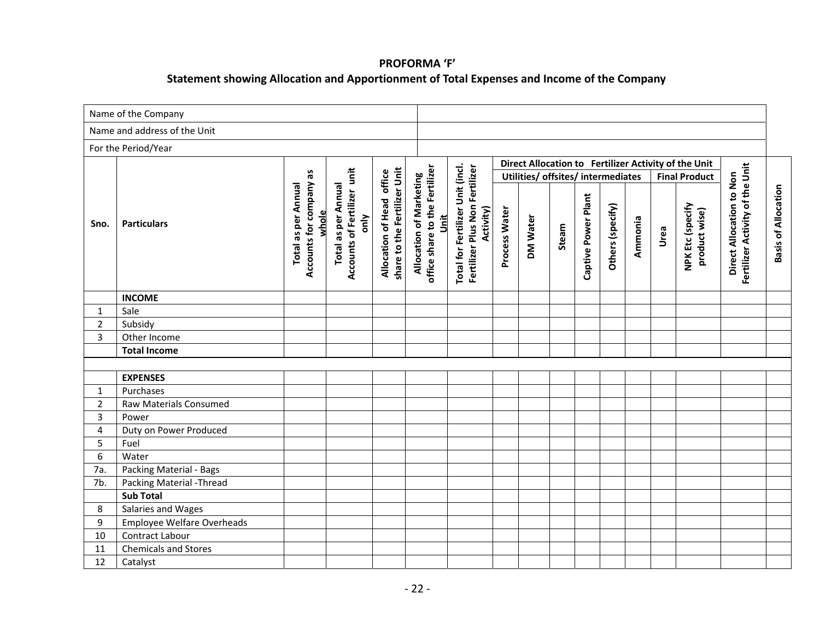### **PROFORMA 'F' Statement showing Allocation and Apportionment of Total Expenses and Income of the Company**

|                | Name of the Company               |                                                                |                                                                   |                                                           |                                                                   |                                                                                 |               |                                                |       |                     |                  |         |      |                                                                                                                   |                                                             |                            |
|----------------|-----------------------------------|----------------------------------------------------------------|-------------------------------------------------------------------|-----------------------------------------------------------|-------------------------------------------------------------------|---------------------------------------------------------------------------------|---------------|------------------------------------------------|-------|---------------------|------------------|---------|------|-------------------------------------------------------------------------------------------------------------------|-------------------------------------------------------------|----------------------------|
|                | Name and address of the Unit      |                                                                |                                                                   |                                                           |                                                                   |                                                                                 |               |                                                |       |                     |                  |         |      |                                                                                                                   |                                                             |                            |
|                | For the Period/Year               |                                                                |                                                                   |                                                           |                                                                   |                                                                                 |               |                                                |       |                     |                  |         |      |                                                                                                                   |                                                             |                            |
| Sno.           | <b>Particulars</b>                | Accounts for company as<br><b>Total as per Annual</b><br>whole | Accounts of Fertilizer unit<br><b>Total as per Annual</b><br>only | share to the Fertilizer Unit<br>Allocation of Head office | office share to the Fertilizer<br>Allocation of Marketing<br>Unit | Total for Fertilizer Unit (incl.<br>Fertilizer Plus Non Fertilizer<br>Activity) | Process Water | Utilities/ offsites/ intermediates<br>DM Water | Steam | Captive Power Plant | Others (specify) | Ammonia | Urea | Direct Allocation to Fertilizer Activity of the Unit<br><b>Final Product</b><br>NPK Etc (specify<br>product wise) | Fertilizer Activity of the Unit<br>Direct Allocation to Non | <b>Basis of Allocation</b> |
|                | <b>INCOME</b>                     |                                                                |                                                                   |                                                           |                                                                   |                                                                                 |               |                                                |       |                     |                  |         |      |                                                                                                                   |                                                             |                            |
| $\mathbf{1}$   | Sale                              |                                                                |                                                                   |                                                           |                                                                   |                                                                                 |               |                                                |       |                     |                  |         |      |                                                                                                                   |                                                             |                            |
| $\overline{2}$ | Subsidy                           |                                                                |                                                                   |                                                           |                                                                   |                                                                                 |               |                                                |       |                     |                  |         |      |                                                                                                                   |                                                             |                            |
| $\overline{3}$ | Other Income                      |                                                                |                                                                   |                                                           |                                                                   |                                                                                 |               |                                                |       |                     |                  |         |      |                                                                                                                   |                                                             |                            |
|                | <b>Total Income</b>               |                                                                |                                                                   |                                                           |                                                                   |                                                                                 |               |                                                |       |                     |                  |         |      |                                                                                                                   |                                                             |                            |
|                |                                   |                                                                |                                                                   |                                                           |                                                                   |                                                                                 |               |                                                |       |                     |                  |         |      |                                                                                                                   |                                                             |                            |
|                | <b>EXPENSES</b>                   |                                                                |                                                                   |                                                           |                                                                   |                                                                                 |               |                                                |       |                     |                  |         |      |                                                                                                                   |                                                             |                            |
| $\mathbf{1}$   | Purchases                         |                                                                |                                                                   |                                                           |                                                                   |                                                                                 |               |                                                |       |                     |                  |         |      |                                                                                                                   |                                                             |                            |
| $\overline{2}$ | Raw Materials Consumed            |                                                                |                                                                   |                                                           |                                                                   |                                                                                 |               |                                                |       |                     |                  |         |      |                                                                                                                   |                                                             |                            |
| $\overline{3}$ | Power                             |                                                                |                                                                   |                                                           |                                                                   |                                                                                 |               |                                                |       |                     |                  |         |      |                                                                                                                   |                                                             |                            |
| 4              | Duty on Power Produced            |                                                                |                                                                   |                                                           |                                                                   |                                                                                 |               |                                                |       |                     |                  |         |      |                                                                                                                   |                                                             |                            |
| 5              | Fuel                              |                                                                |                                                                   |                                                           |                                                                   |                                                                                 |               |                                                |       |                     |                  |         |      |                                                                                                                   |                                                             |                            |
| 6              | Water                             |                                                                |                                                                   |                                                           |                                                                   |                                                                                 |               |                                                |       |                     |                  |         |      |                                                                                                                   |                                                             |                            |
| 7a.            | Packing Material - Bags           |                                                                |                                                                   |                                                           |                                                                   |                                                                                 |               |                                                |       |                     |                  |         |      |                                                                                                                   |                                                             |                            |
| 7b.            | Packing Material - Thread         |                                                                |                                                                   |                                                           |                                                                   |                                                                                 |               |                                                |       |                     |                  |         |      |                                                                                                                   |                                                             |                            |
|                | <b>Sub Total</b>                  |                                                                |                                                                   |                                                           |                                                                   |                                                                                 |               |                                                |       |                     |                  |         |      |                                                                                                                   |                                                             |                            |
| 8              | Salaries and Wages                |                                                                |                                                                   |                                                           |                                                                   |                                                                                 |               |                                                |       |                     |                  |         |      |                                                                                                                   |                                                             |                            |
| 9              | <b>Employee Welfare Overheads</b> |                                                                |                                                                   |                                                           |                                                                   |                                                                                 |               |                                                |       |                     |                  |         |      |                                                                                                                   |                                                             |                            |
| 10             | Contract Labour                   |                                                                |                                                                   |                                                           |                                                                   |                                                                                 |               |                                                |       |                     |                  |         |      |                                                                                                                   |                                                             |                            |
| 11             | <b>Chemicals and Stores</b>       |                                                                |                                                                   |                                                           |                                                                   |                                                                                 |               |                                                |       |                     |                  |         |      |                                                                                                                   |                                                             |                            |
| 12             | Catalyst                          |                                                                |                                                                   |                                                           |                                                                   |                                                                                 |               |                                                |       |                     |                  |         |      |                                                                                                                   |                                                             |                            |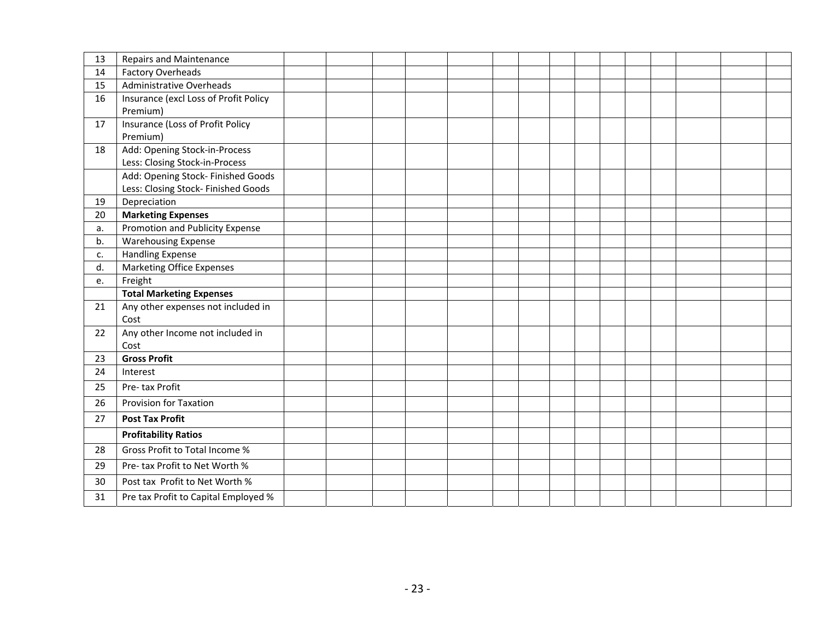| 13 | <b>Repairs and Maintenance</b>        |  |  |  |  |  |  |  |  |
|----|---------------------------------------|--|--|--|--|--|--|--|--|
| 14 | <b>Factory Overheads</b>              |  |  |  |  |  |  |  |  |
|    |                                       |  |  |  |  |  |  |  |  |
| 15 | Administrative Overheads              |  |  |  |  |  |  |  |  |
| 16 | Insurance (excl Loss of Profit Policy |  |  |  |  |  |  |  |  |
|    | Premium)                              |  |  |  |  |  |  |  |  |
| 17 | Insurance (Loss of Profit Policy      |  |  |  |  |  |  |  |  |
|    | Premium)                              |  |  |  |  |  |  |  |  |
| 18 | Add: Opening Stock-in-Process         |  |  |  |  |  |  |  |  |
|    | Less: Closing Stock-in-Process        |  |  |  |  |  |  |  |  |
|    | Add: Opening Stock- Finished Goods    |  |  |  |  |  |  |  |  |
|    | Less: Closing Stock- Finished Goods   |  |  |  |  |  |  |  |  |
| 19 | Depreciation                          |  |  |  |  |  |  |  |  |
| 20 | <b>Marketing Expenses</b>             |  |  |  |  |  |  |  |  |
| a. | Promotion and Publicity Expense       |  |  |  |  |  |  |  |  |
| b. | <b>Warehousing Expense</b>            |  |  |  |  |  |  |  |  |
| c. | <b>Handling Expense</b>               |  |  |  |  |  |  |  |  |
| d. | <b>Marketing Office Expenses</b>      |  |  |  |  |  |  |  |  |
| e. | Freight                               |  |  |  |  |  |  |  |  |
|    | <b>Total Marketing Expenses</b>       |  |  |  |  |  |  |  |  |
| 21 | Any other expenses not included in    |  |  |  |  |  |  |  |  |
|    | Cost                                  |  |  |  |  |  |  |  |  |
| 22 | Any other Income not included in      |  |  |  |  |  |  |  |  |
|    | Cost                                  |  |  |  |  |  |  |  |  |
| 23 | <b>Gross Profit</b>                   |  |  |  |  |  |  |  |  |
| 24 | Interest                              |  |  |  |  |  |  |  |  |
| 25 | Pre-tax Profit                        |  |  |  |  |  |  |  |  |
| 26 | Provision for Taxation                |  |  |  |  |  |  |  |  |
| 27 | <b>Post Tax Profit</b>                |  |  |  |  |  |  |  |  |
|    | <b>Profitability Ratios</b>           |  |  |  |  |  |  |  |  |
| 28 | Gross Profit to Total Income %        |  |  |  |  |  |  |  |  |
| 29 | Pre-tax Profit to Net Worth %         |  |  |  |  |  |  |  |  |
| 30 | Post tax Profit to Net Worth %        |  |  |  |  |  |  |  |  |
| 31 | Pre tax Profit to Capital Employed %  |  |  |  |  |  |  |  |  |
|    |                                       |  |  |  |  |  |  |  |  |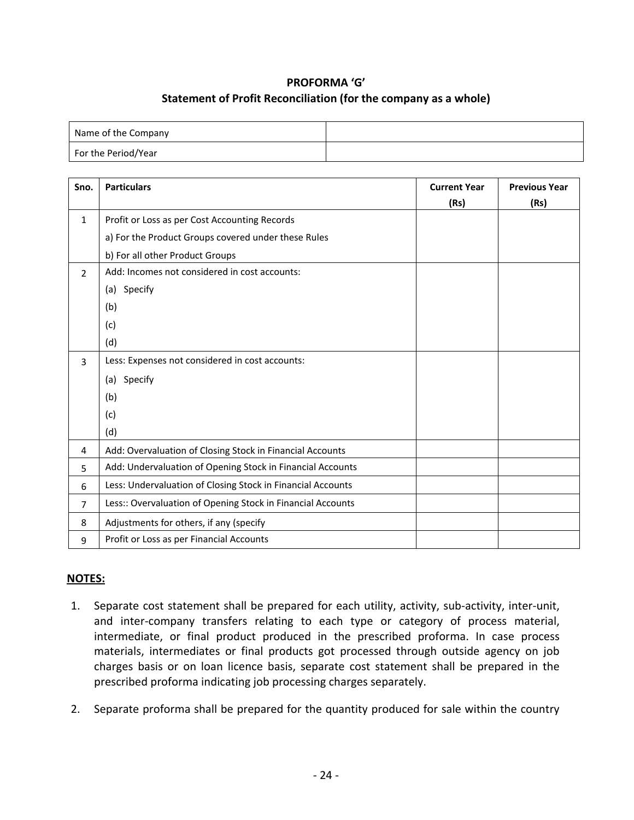## **PROFORMA 'G' Statement of Profit Reconciliation (for the company as a whole)**

| Name of the Company |  |
|---------------------|--|
| For the Period/Year |  |

| Sno.           | <b>Particulars</b>                                          | <b>Current Year</b> | <b>Previous Year</b> |
|----------------|-------------------------------------------------------------|---------------------|----------------------|
|                |                                                             | (Rs)                | (Rs)                 |
| $\mathbf{1}$   | Profit or Loss as per Cost Accounting Records               |                     |                      |
|                | a) For the Product Groups covered under these Rules         |                     |                      |
|                | b) For all other Product Groups                             |                     |                      |
| $\overline{2}$ | Add: Incomes not considered in cost accounts:               |                     |                      |
|                | (a) Specify                                                 |                     |                      |
|                | (b)                                                         |                     |                      |
|                | (c)                                                         |                     |                      |
|                | (d)                                                         |                     |                      |
| 3              | Less: Expenses not considered in cost accounts:             |                     |                      |
|                | (a) Specify                                                 |                     |                      |
|                | (b)                                                         |                     |                      |
|                | (c)                                                         |                     |                      |
|                | (d)                                                         |                     |                      |
| 4              | Add: Overvaluation of Closing Stock in Financial Accounts   |                     |                      |
| 5              | Add: Undervaluation of Opening Stock in Financial Accounts  |                     |                      |
| 6              | Less: Undervaluation of Closing Stock in Financial Accounts |                     |                      |
| 7              | Less:: Overvaluation of Opening Stock in Financial Accounts |                     |                      |
| 8              | Adjustments for others, if any (specify                     |                     |                      |
| 9              | Profit or Loss as per Financial Accounts                    |                     |                      |

## **NOTES:**

- 1. Separate cost statement shall be prepared for each utility, activity, sub-activity, inter-unit, and inter-company transfers relating to each type or category of process material, intermediate, or final product produced in the prescribed proforma. In case process materials, intermediates or final products got processed through outside agency on job charges basis or on loan licence basis, separate cost statement shall be prepared in the prescribed proforma indicating job processing charges separately.
- 2. Separate proforma shall be prepared for the quantity produced for sale within the country